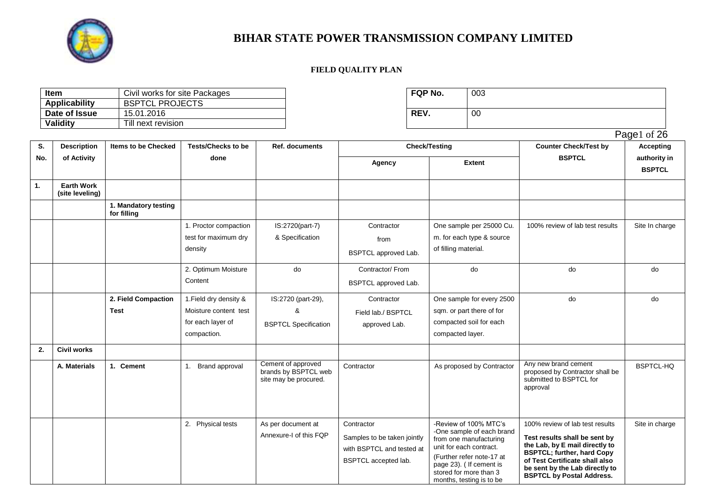

#### **FIELD QUALITY PLAN**

| Item          | Civil works for site Packages | FQP No. | 003 |
|---------------|-------------------------------|---------|-----|
| Applicability | <b>BSPTCL PROJECTS</b>        |         |     |
| Date of Issue | 15.01.2016                    | REV.    | 00  |
| Validity      | Till next revision            |         |     |

| FQP No. | 003 |
|---------|-----|
| REV.    | 00  |

months, testing is to be

**BSPTCL by Postal Address.** 

|     |                                      |                                     |                           |                                                                     |                             |                                                                                 |                                                                                                     | Page1 of 26                   |
|-----|--------------------------------------|-------------------------------------|---------------------------|---------------------------------------------------------------------|-----------------------------|---------------------------------------------------------------------------------|-----------------------------------------------------------------------------------------------------|-------------------------------|
| S.  | <b>Description</b>                   | <b>Items to be Checked</b>          | <b>Tests/Checks to be</b> | <b>Ref. documents</b>                                               |                             | <b>Check/Testing</b>                                                            | <b>Counter Check/Test by</b>                                                                        | <b>Accepting</b>              |
| No. | of Activity                          |                                     | done                      |                                                                     | Agency                      | <b>Extent</b>                                                                   | <b>BSPTCL</b>                                                                                       | authority in<br><b>BSPTCL</b> |
| 1.  | <b>Earth Work</b><br>(site leveling) |                                     |                           |                                                                     |                             |                                                                                 |                                                                                                     |                               |
|     |                                      | 1. Mandatory testing<br>for filling |                           |                                                                     |                             |                                                                                 |                                                                                                     |                               |
|     |                                      |                                     | 1. Proctor compaction     | IS:2720(part-7)                                                     | Contractor                  | One sample per 25000 Cu.                                                        | 100% review of lab test results                                                                     | Site In charge                |
|     |                                      |                                     | test for maximum dry      | & Specification                                                     | from                        | m. for each type & source                                                       |                                                                                                     |                               |
|     |                                      |                                     | density                   |                                                                     | BSPTCL approved Lab.        | of filling material.                                                            |                                                                                                     |                               |
|     |                                      |                                     | 2. Optimum Moisture       | do                                                                  | Contractor/From             | do                                                                              | do                                                                                                  | do                            |
|     |                                      |                                     | Content                   |                                                                     | BSPTCL approved Lab.        |                                                                                 |                                                                                                     |                               |
|     |                                      | 2. Field Compaction                 | 1. Field dry density &    | IS:2720 (part-29),                                                  | Contractor                  | One sample for every 2500                                                       | do                                                                                                  | do                            |
|     |                                      | Test                                | Moisture content test     | &                                                                   | Field lab./ BSPTCL          | sqm. or part there of for                                                       |                                                                                                     |                               |
|     |                                      |                                     | for each layer of         | <b>BSPTCL Specification</b>                                         | approved Lab.               | compacted soil for each                                                         |                                                                                                     |                               |
|     |                                      |                                     | compaction.               |                                                                     |                             | compacted layer.                                                                |                                                                                                     |                               |
| 2.  | <b>Civil works</b>                   |                                     |                           |                                                                     |                             |                                                                                 |                                                                                                     |                               |
|     | A. Materials                         | 1. Cement                           | 1. Brand approval         | Cement of approved<br>brands by BSPTCL web<br>site may be procured. | Contractor                  | As proposed by Contractor                                                       | Any new brand cement<br>proposed by Contractor shall be<br>submitted to BSPTCL for<br>approval      | <b>BSPTCL-HQ</b>              |
|     |                                      |                                     | 2. Physical tests         | As per document at                                                  | Contractor                  | -Review of 100% MTC's                                                           | 100% review of lab test results                                                                     | Site in charge                |
|     |                                      |                                     |                           | Annexure-I of this FQP                                              | Samples to be taken jointly | -One sample of each brand<br>from one manufacturing                             | Test results shall be sent by                                                                       |                               |
|     |                                      |                                     |                           |                                                                     | with BSPTCL and tested at   | unit for each contract.                                                         | the Lab, by E mail directly to<br><b>BSPTCL; further, hard Copy</b>                                 |                               |
|     |                                      |                                     |                           |                                                                     | BSPTCL accepted lab.        | (Further refer note-17 at<br>page 23). ( If cement is<br>stored for more than 3 | of Test Certificate shall also<br>be sent by the Lab directly to<br><b>DODTOL AU Bootel Address</b> |                               |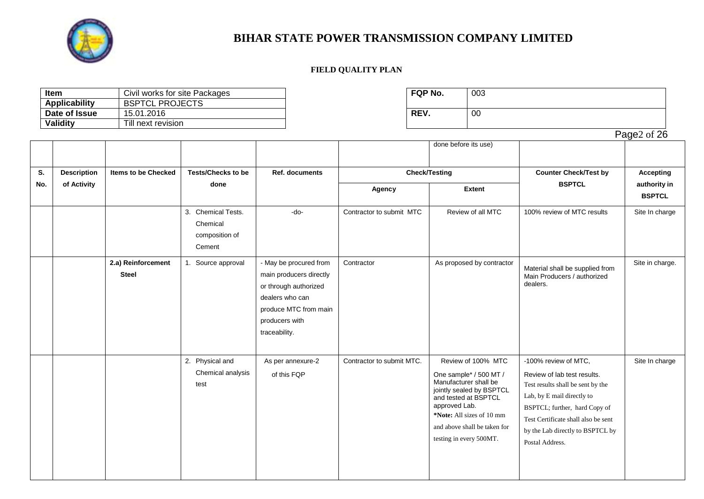

### **FIELD QUALITY PLAN**

| ltem                 | Civil works for site Packages | <b>FQP No.</b> | 003 |
|----------------------|-------------------------------|----------------|-----|
| <b>Applicability</b> | <b>BSPTCL PROJECTS</b>        |                |     |
| Date of Issue        | 15.01.2016                    | REV.           | 00  |
| <b>Validity</b>      | Till next revision            |                |     |

| FQP No. | 003 |
|---------|-----|
| REV.    | 00  |

Page2 of 26

|     |                    |                                    |                                                            |                                                                                                                                                           |                           | done before its use)                                                                                                                                                                                                               |                                                                                                                                                                                                                                                       |                               |
|-----|--------------------|------------------------------------|------------------------------------------------------------|-----------------------------------------------------------------------------------------------------------------------------------------------------------|---------------------------|------------------------------------------------------------------------------------------------------------------------------------------------------------------------------------------------------------------------------------|-------------------------------------------------------------------------------------------------------------------------------------------------------------------------------------------------------------------------------------------------------|-------------------------------|
|     |                    |                                    |                                                            |                                                                                                                                                           |                           |                                                                                                                                                                                                                                    |                                                                                                                                                                                                                                                       |                               |
| S.  | <b>Description</b> | <b>Items to be Checked</b>         | <b>Tests/Checks to be</b>                                  | Ref. documents                                                                                                                                            | <b>Check/Testing</b>      |                                                                                                                                                                                                                                    | <b>Counter Check/Test by</b>                                                                                                                                                                                                                          | <b>Accepting</b>              |
| No. | of Activity        |                                    | done                                                       |                                                                                                                                                           | Agency                    | <b>Extent</b>                                                                                                                                                                                                                      | <b>BSPTCL</b>                                                                                                                                                                                                                                         | authority in<br><b>BSPTCL</b> |
|     |                    |                                    | 3. Chemical Tests.<br>Chemical<br>composition of<br>Cement | -do-                                                                                                                                                      | Contractor to submit MTC  | Review of all MTC                                                                                                                                                                                                                  | 100% review of MTC results                                                                                                                                                                                                                            | Site In charge                |
|     |                    | 2.a) Reinforcement<br><b>Steel</b> | 1. Source approval                                         | - May be procured from<br>main producers directly<br>or through authorized<br>dealers who can<br>produce MTC from main<br>producers with<br>traceability. | Contractor                | As proposed by contractor                                                                                                                                                                                                          | Material shall be supplied from<br>Main Producers / authorized<br>dealers.                                                                                                                                                                            | Site in charge.               |
|     |                    |                                    | 2. Physical and<br>Chemical analysis<br>test               | As per annexure-2<br>of this FQP                                                                                                                          | Contractor to submit MTC. | Review of 100% MTC<br>One sample* / 500 MT /<br>Manufacturer shall be<br>jointly sealed by BSPTCL<br>and tested at BSPTCL<br>approved Lab.<br>*Note: All sizes of 10 mm<br>and above shall be taken for<br>testing in every 500MT. | -100% review of MTC,<br>Review of lab test results.<br>Test results shall be sent by the<br>Lab, by E mail directly to<br>BSPTCL; further, hard Copy of<br>Test Certificate shall also be sent<br>by the Lab directly to BSPTCL by<br>Postal Address. | Site In charge                |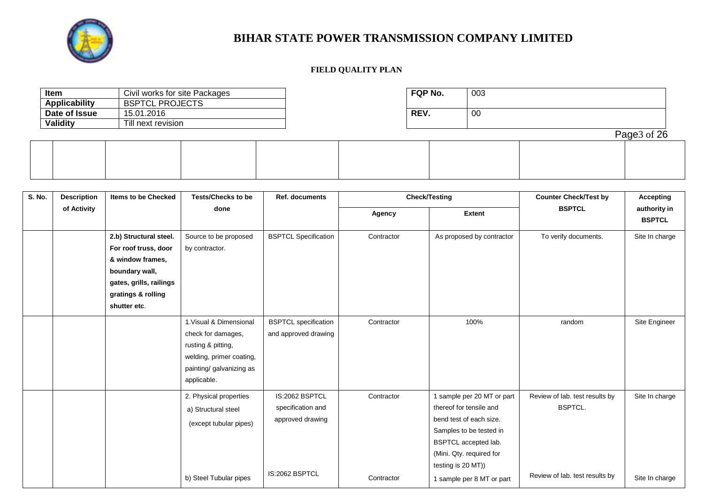

| Item            | Civil works for site Packages |  |  | <b>FQP No.</b> | 003 |             |
|-----------------|-------------------------------|--|--|----------------|-----|-------------|
| Applicability   | <b>BSPTCL PROJECTS</b>        |  |  |                |     |             |
| Date of Issue   | 15.01.2016                    |  |  | REV.           | 00  |             |
| <b>Validity</b> | Till next revision            |  |  |                |     |             |
|                 |                               |  |  |                |     | Page3 of 26 |
|                 |                               |  |  |                |     |             |
|                 |                               |  |  |                |     |             |
|                 |                               |  |  |                |     |             |
|                 |                               |  |  |                |     |             |

| <b>S. No.</b> | <b>Description</b> | <b>Items to be Checked</b> | <b>Tests/Checks to be</b> | Ref. documents              |            | <b>Check/Testing</b>       | <b>Counter Check/Test by</b>   | <b>Accepting</b>              |  |
|---------------|--------------------|----------------------------|---------------------------|-----------------------------|------------|----------------------------|--------------------------------|-------------------------------|--|
|               | of Activity        |                            | done                      |                             | Agency     | <b>Extent</b>              | <b>BSPTCL</b>                  | authority in<br><b>BSPTCL</b> |  |
|               |                    | 2.b) Structural steel.     | Source to be proposed     | <b>BSPTCL Specification</b> | Contractor | As proposed by contractor  | To verify documents.           | Site In charge                |  |
|               |                    | For roof truss, door       | by contractor.            |                             |            |                            |                                |                               |  |
|               |                    | & window frames,           |                           |                             |            |                            |                                |                               |  |
|               |                    | boundary wall,             |                           |                             |            |                            |                                |                               |  |
|               |                    | gates, grills, railings    |                           |                             |            |                            |                                |                               |  |
|               |                    | gratings & rolling         |                           |                             |            |                            |                                |                               |  |
|               |                    | shutter etc.               |                           |                             |            |                            |                                |                               |  |
|               |                    |                            | 1. Visual & Dimensional   | <b>BSPTCL</b> specification | Contractor | 100%                       | random                         | Site Engineer                 |  |
|               |                    |                            | check for damages,        | and approved drawing        |            |                            |                                |                               |  |
|               |                    |                            | rusting & pitting,        |                             |            |                            |                                |                               |  |
|               |                    |                            | welding, primer coating,  |                             |            |                            |                                |                               |  |
|               |                    |                            | painting/ galvanizing as  |                             |            |                            |                                |                               |  |
|               |                    |                            | applicable.               |                             |            |                            |                                |                               |  |
|               |                    |                            | 2. Physical properties    | IS:2062 BSPTCL              | Contractor | 1 sample per 20 MT or part | Review of lab. test results by | Site In charge                |  |
|               |                    |                            | a) Structural steel       | specification and           |            | thereof for tensile and    | <b>BSPTCL.</b>                 |                               |  |
|               |                    |                            | (except tubular pipes)    | approved drawing            |            | bend test of each size.    |                                |                               |  |
|               |                    |                            |                           |                             |            | Samples to be tested in    |                                |                               |  |
|               |                    |                            |                           |                             |            | BSPTCL accepted lab.       |                                |                               |  |
|               |                    |                            |                           |                             |            | (Mini. Qty. required for   |                                |                               |  |
|               |                    |                            |                           | IS:2062 BSPTCL              |            | testing is 20 MT))         |                                |                               |  |
|               |                    |                            | b) Steel Tubular pipes    |                             | Contractor | 1 sample per 8 MT or part  | Review of lab. test results by | Site In charge                |  |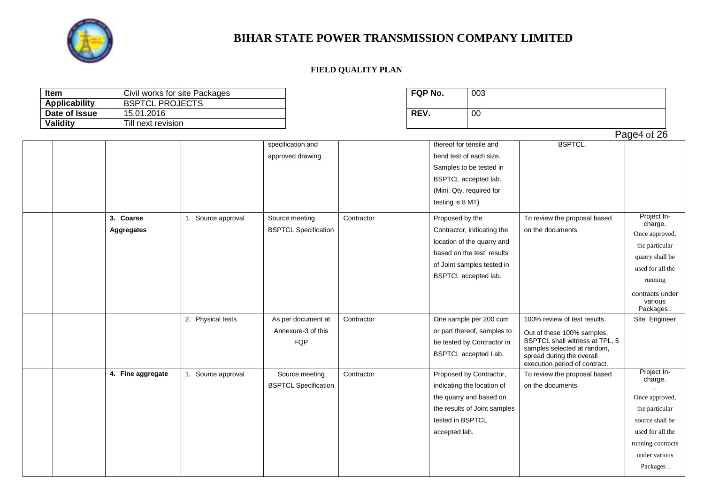

| Item                 | Civil works for site Packages |                    |                             |            | FQP No.          | 003                          |                                                          |                      |
|----------------------|-------------------------------|--------------------|-----------------------------|------------|------------------|------------------------------|----------------------------------------------------------|----------------------|
| <b>Applicability</b> | <b>BSPTCL PROJECTS</b>        |                    |                             |            |                  |                              |                                                          |                      |
| Date of Issue        | 15.01.2016                    |                    |                             |            | REV.             | 00                           |                                                          |                      |
| <b>Validity</b>      | Till next revision            |                    |                             |            |                  |                              |                                                          |                      |
|                      |                               |                    |                             |            |                  |                              |                                                          | Page4 of 26          |
|                      |                               |                    | specification and           |            |                  | thereof for tensile and      | <b>BSPTCL.</b>                                           |                      |
|                      |                               |                    | approved drawing            |            |                  | bend test of each size.      |                                                          |                      |
|                      |                               |                    |                             |            |                  | Samples to be tested in      |                                                          |                      |
|                      |                               |                    |                             |            |                  | BSPTCL accepted lab.         |                                                          |                      |
|                      |                               |                    |                             |            |                  | (Mini. Qty. required for     |                                                          |                      |
|                      |                               |                    |                             |            | testing is 8 MT) |                              |                                                          |                      |
|                      | 3. Coarse                     | 1. Source approval | Source meeting              | Contractor | Proposed by the  |                              | To review the proposal based                             | Project In-          |
|                      |                               |                    |                             |            |                  |                              |                                                          | charge.              |
|                      | <b>Aggregates</b>             |                    | <b>BSPTCL Specification</b> |            |                  | Contractor, indicating the   | on the documents                                         | Once approved,       |
|                      |                               |                    |                             |            |                  | location of the quarry and   |                                                          | the particular       |
|                      |                               |                    |                             |            |                  | based on the test results    |                                                          | quarry shall be      |
|                      |                               |                    |                             |            |                  | of Joint samples tested in   |                                                          | used for all the     |
|                      |                               |                    |                             |            |                  | BSPTCL accepted lab.         |                                                          | running              |
|                      |                               |                    |                             |            |                  |                              |                                                          | contracts under      |
|                      |                               |                    |                             |            |                  |                              |                                                          | various<br>Packages. |
|                      |                               | 2. Physical tests  | As per document at          | Contractor |                  | One sample per 200 cum       | 100% review of test results.                             | Site Engineer        |
|                      |                               |                    | Annexure-3 of this          |            |                  | or part thereof, samples to  | Out of these 100% samples,                               |                      |
|                      |                               |                    | FQP                         |            |                  | be tested by Contractor in   | BSPTCL shall witness at TPL, 5                           |                      |
|                      |                               |                    |                             |            |                  | BSPTCL accepted Lab.         | samples selected at random,<br>spread during the overall |                      |
|                      |                               |                    |                             |            |                  |                              | execution period of contract.                            |                      |
|                      | 4. Fine aggregate             | 1. Source approval | Source meeting              | Contractor |                  | Proposed by Contractor,      | To review the proposal based                             | Project In-          |
|                      |                               |                    | <b>BSPTCL Specification</b> |            |                  | indicating the location of   | on the documents.                                        | charge.              |
|                      |                               |                    |                             |            |                  | the quarry and based on      |                                                          | Once approved,       |
|                      |                               |                    |                             |            |                  | the results of Joint samples |                                                          | the particular       |
|                      |                               |                    |                             |            | tested in BSPTCL |                              |                                                          | source shall be      |
|                      |                               |                    |                             |            | accepted lab.    |                              |                                                          | used for all the     |
|                      |                               |                    |                             |            |                  |                              |                                                          | running contracts    |
|                      |                               |                    |                             |            |                  |                              |                                                          | under various        |
|                      |                               |                    |                             |            |                  |                              |                                                          | Packages.            |
|                      |                               |                    |                             |            |                  |                              |                                                          |                      |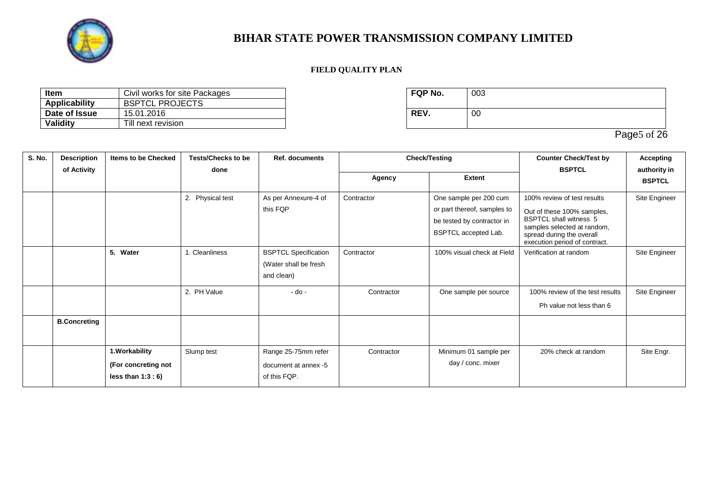

### **FIELD QUALITY PLAN**

| ltem          | Civil works for site Packages | <b>FQP No.</b> | 003 |
|---------------|-------------------------------|----------------|-----|
| Applicability | <b>BSPTCL PROJECTS</b>        |                |     |
| Date of Issue | 15.01.2016                    | <b>REV</b>     | 00  |
| Validity      | Till next revision            |                |     |

| FQP No. | 003 |
|---------|-----|
| REV.    | 00  |

Page5 of 26

| S. No. | <b>Description</b>  | <b>Items to be Checked</b>                                   | <b>Tests/Checks to be</b><br>done | <b>Ref. documents</b>                                              |            | <b>Check/Testing</b>                                                                                        | <b>Counter Check/Test by</b><br><b>BSPTCL</b>                                                                                                                                           | <b>Accepting</b>              |
|--------|---------------------|--------------------------------------------------------------|-----------------------------------|--------------------------------------------------------------------|------------|-------------------------------------------------------------------------------------------------------------|-----------------------------------------------------------------------------------------------------------------------------------------------------------------------------------------|-------------------------------|
|        | of Activity         |                                                              |                                   |                                                                    | Agency     | <b>Extent</b>                                                                                               |                                                                                                                                                                                         | authority in<br><b>BSPTCL</b> |
|        |                     |                                                              | 2. Physical test                  | As per Annexure-4 of<br>this FQP                                   | Contractor | One sample per 200 cum<br>or part thereof, samples to<br>be tested by contractor in<br>BSPTCL accepted Lab. | 100% review of test results<br>Out of these 100% samples,<br><b>BSPTCL shall witness 5</b><br>samples selected at random,<br>spread during the overall<br>execution period of contract. | Site Engineer                 |
|        |                     | 5. Water                                                     | 1. Cleanliness                    | <b>BSPTCL Specification</b><br>(Water shall be fresh<br>and clean) | Contractor | 100% visual check at Field                                                                                  | Verification at random                                                                                                                                                                  | Site Engineer                 |
|        |                     |                                                              | 2. PH Value                       | $-do -$                                                            | Contractor | One sample per source                                                                                       | 100% review of the test results<br>Ph value not less than 6                                                                                                                             | Site Engineer                 |
|        | <b>B.Concreting</b> |                                                              |                                   |                                                                    |            |                                                                                                             |                                                                                                                                                                                         |                               |
|        |                     | 1. Workability<br>(For concreting not<br>less than $1:3:6$ ) | Slump test                        | Range 25-75mm refer<br>document at annex -5<br>of this FQP.        | Contractor | Minimum 01 sample per<br>day / conc. mixer                                                                  | 20% check at random                                                                                                                                                                     | Site Engr.                    |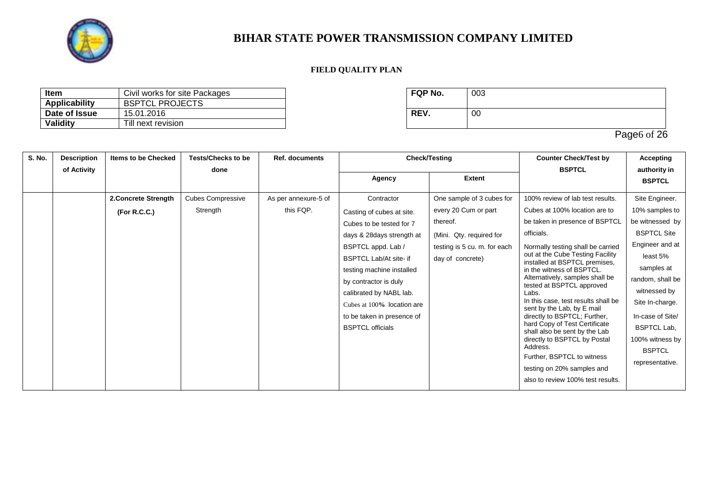

### **FIELD QUALITY PLAN**

| Civil works for site Packages<br>ltem |                        | <b>FQP No.</b> | 003 |
|---------------------------------------|------------------------|----------------|-----|
| Applicability                         | <b>BSPTCL PROJECTS</b> |                |     |
| Date of Issue                         | 15.01.2016             | <b>REV</b>     | 00  |
| Validity                              | Till next revision     |                |     |

| FQP No. | 003 |
|---------|-----|
| REV.    | 00  |

Page6 of 26

| S. No. | <b>Description</b> | <b>Items to be Checked</b> | <b>Tests/Checks to be</b> | <b>Ref. documents</b> |                               | <b>Check/Testing</b>         | <b>Counter Check/Test by</b>                                      | <b>Accepting</b>                 |                               |          |
|--------|--------------------|----------------------------|---------------------------|-----------------------|-------------------------------|------------------------------|-------------------------------------------------------------------|----------------------------------|-------------------------------|----------|
|        | of Activity        |                            | done                      |                       | Agency                        | <b>Extent</b>                | <b>BSPTCL</b>                                                     | authority in<br><b>BSPTCL</b>    |                               |          |
|        |                    | 2. Concrete Strength       | <b>Cubes Compressive</b>  | As per annexure-5 of  | Contractor                    | One sample of 3 cubes for    | 100% review of lab test results.                                  | Site Engineer.                   |                               |          |
|        |                    | (For R.C.C.)               | Strength                  | this FQP.             | Casting of cubes at site.     | every 20 Cum or part         | Cubes at 100% location are to                                     | 10% samples to                   |                               |          |
|        |                    |                            |                           |                       | Cubes to be tested for 7      | thereof.                     | be taken in presence of BSPTCL                                    | be witnessed by                  |                               |          |
|        |                    |                            |                           |                       | days & 28 days strength at    | (Mini. Qty. required for     | officials.                                                        | <b>BSPTCL Site</b>               |                               |          |
|        |                    |                            |                           |                       | BSPTCL appd. Lab /            | testing is 5 cu. m. for each | Normally testing shall be carried                                 | Engineer and at                  |                               |          |
|        |                    |                            |                           |                       | <b>BSPTCL Lab/At site- if</b> | day of concrete)             |                                                                   | out at the Cube Testing Facility | installed at BSPTCL premises, | least 5% |
|        |                    |                            |                           |                       | testing machine installed     |                              | in the witness of BSPTCL.                                         | samples at                       |                               |          |
|        |                    |                            |                           |                       | by contractor is duly         |                              | Alternatively, samples shall be<br>tested at BSPTCL approved      | random, shall be                 |                               |          |
|        |                    |                            |                           |                       | calibrated by NABL lab.       |                              | Labs.                                                             | witnessed by                     |                               |          |
|        |                    |                            |                           |                       | Cubes at 100% location are    |                              | In this case, test results shall be<br>sent by the Lab, by E mail | Site In-charge.                  |                               |          |
|        |                    |                            |                           |                       | to be taken in presence of    |                              | directly to BSPTCL; Further,                                      | In-case of Site/                 |                               |          |
|        |                    |                            |                           |                       | <b>BSPTCL officials</b>       |                              | hard Copy of Test Certificate<br>shall also be sent by the Lab    | <b>BSPTCL Lab,</b>               |                               |          |
|        |                    |                            |                           |                       |                               |                              | directly to BSPTCL by Postal                                      | 100% witness by                  |                               |          |
|        |                    |                            |                           |                       |                               |                              | Address.<br>Further, BSPTCL to witness                            | <b>BSPTCL</b>                    |                               |          |
|        |                    |                            |                           |                       |                               |                              | testing on 20% samples and                                        | representative.                  |                               |          |
|        |                    |                            |                           |                       |                               |                              | also to review 100% test results.                                 |                                  |                               |          |
|        |                    |                            |                           |                       |                               |                              |                                                                   |                                  |                               |          |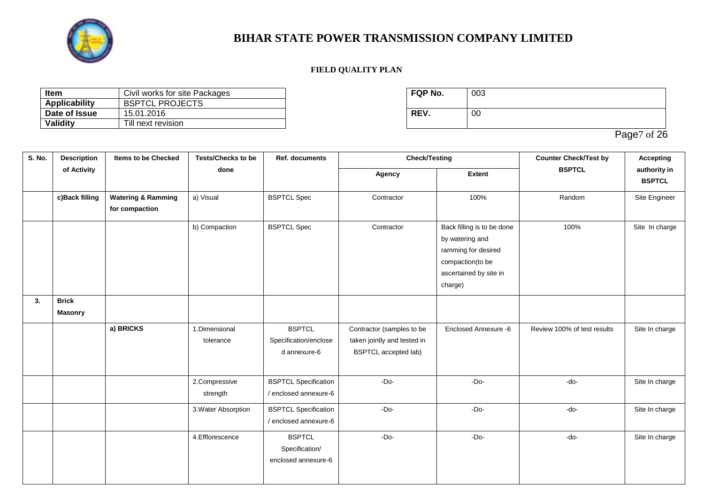

### **FIELD QUALITY PLAN**

| Civil works for site Packages<br>ltem |                        | <b>FQP No.</b> | 003 |
|---------------------------------------|------------------------|----------------|-----|
| <b>Applicability</b>                  | <b>BSPTCL PROJECTS</b> |                |     |
| Date of Issue                         | 15.01.2016             | REV.           | 00  |
| <b>Validity</b>                       | Till next revision     |                |     |

| FQP No. | 003 |
|---------|-----|
| REV.    | 00  |

Page7 of 26

| S. No. | <b>Description</b>      | <b>Items to be Checked</b>                      | <b>Tests/Checks to be</b>  | Ref. documents                                         | <b>Check/Testing</b>                                                                    |                                                                                                                               | <b>Counter Check/Test by</b> | <b>Accepting</b>              |  |
|--------|-------------------------|-------------------------------------------------|----------------------------|--------------------------------------------------------|-----------------------------------------------------------------------------------------|-------------------------------------------------------------------------------------------------------------------------------|------------------------------|-------------------------------|--|
|        | of Activity             |                                                 | done                       |                                                        | Agency                                                                                  | <b>Extent</b>                                                                                                                 | <b>BSPTCL</b>                | authority in<br><b>BSPTCL</b> |  |
|        | c)Back filling          | <b>Watering &amp; Ramming</b><br>for compaction | a) Visual                  | <b>BSPTCL Spec</b>                                     | Contractor                                                                              | 100%                                                                                                                          | Random                       | Site Engineer                 |  |
|        |                         |                                                 | b) Compaction              | <b>BSPTCL Spec</b>                                     | Contractor                                                                              | Back filling is to be done<br>by watering and<br>ramming for desired<br>compaction(to be<br>ascertained by site in<br>charge) | 100%                         | Site In charge                |  |
| 3.     | <b>Brick</b><br>Masonry |                                                 |                            |                                                        |                                                                                         |                                                                                                                               |                              |                               |  |
|        |                         | a) BRICKS                                       | 1.Dimensional<br>tolerance | <b>BSPTCL</b><br>Specification/enclose<br>d annexure-6 | Contractor (samples to be<br>taken jointly and tested in<br><b>BSPTCL</b> accepted lab) | Enclosed Annexure -6                                                                                                          | Review 100% of test results  | Site In charge                |  |
|        |                         |                                                 | 2.Compressive<br>strength  | <b>BSPTCL Specification</b><br>/ enclosed annexure-6   | $-Do-$                                                                                  | $-Do-$                                                                                                                        | -do-                         | Site In charge                |  |
|        |                         |                                                 | 3. Water Absorption        | <b>BSPTCL Specification</b><br>/ enclosed annexure-6   | $-Do-$                                                                                  | $-Do-$                                                                                                                        | -do-                         | Site In charge                |  |
|        |                         |                                                 | 4.Efflorescence            | <b>BSPTCL</b><br>Specification/<br>enclosed annexure-6 | $-Do-$                                                                                  | $-Do-$                                                                                                                        | -do-                         | Site In charge                |  |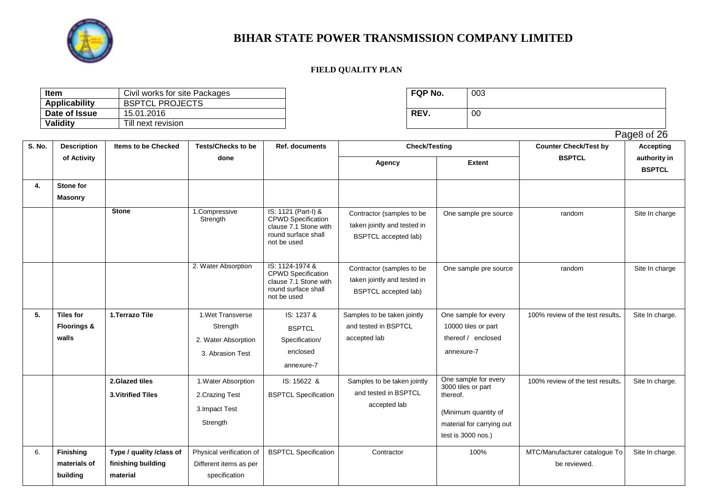

| <b>Item</b>          | Civil works for site Packages | <b>FQP No.</b> | 003 |
|----------------------|-------------------------------|----------------|-----|
| <b>Applicability</b> | <b>BSPTCL PROJECTS</b>        |                |     |
| Date of Issue        | 15.01.2016                    | <b>REV.</b>    | 00  |
| <b>Validity</b>      | Till next revision            |                |     |

| FQP No. | 003 |
|---------|-----|
| REV.    | 00  |

|        |                                                     |                                                            |                                                                          |                                                                                                                 |                                                                                         |                                                                                                                                   |                                               | Page8 of 26                   |
|--------|-----------------------------------------------------|------------------------------------------------------------|--------------------------------------------------------------------------|-----------------------------------------------------------------------------------------------------------------|-----------------------------------------------------------------------------------------|-----------------------------------------------------------------------------------------------------------------------------------|-----------------------------------------------|-------------------------------|
| S. No. | <b>Description</b>                                  | <b>Items to be Checked</b>                                 | <b>Tests/Checks to be</b>                                                | Ref. documents                                                                                                  | <b>Check/Testing</b>                                                                    |                                                                                                                                   | <b>Counter Check/Test by</b>                  | <b>Accepting</b>              |
|        | of Activity                                         |                                                            | done                                                                     |                                                                                                                 | Agency                                                                                  | <b>Extent</b>                                                                                                                     | <b>BSPTCL</b>                                 | authority in<br><b>BSPTCL</b> |
| 4.     | Stone for<br><b>Masonry</b>                         |                                                            |                                                                          |                                                                                                                 |                                                                                         |                                                                                                                                   |                                               |                               |
|        |                                                     | <b>Stone</b>                                               | 1.Compressive<br>Strength                                                | IS: 1121 (Part-I) &<br><b>CPWD</b> Specification<br>clause 7.1 Stone with<br>round surface shall<br>not be used | Contractor (samples to be<br>taken jointly and tested in<br><b>BSPTCL</b> accepted lab) | One sample pre source                                                                                                             | random                                        | Site In charge                |
|        |                                                     |                                                            | 2. Water Absorption                                                      | IS: 1124-1974 &<br><b>CPWD Specification</b><br>clause 7.1 Stone with<br>round surface shall<br>not be used     | Contractor (samples to be<br>taken jointly and tested in<br><b>BSPTCL</b> accepted lab) | One sample pre source                                                                                                             | random                                        | Site In charge                |
| 5.     | <b>Tiles for</b><br><b>Floorings &amp;</b><br>walls | 1. Terrazo Tile                                            | 1. Wet Transverse<br>Strength<br>2. Water Absorption<br>3. Abrasion Test | IS: 1237 &<br><b>BSPTCL</b><br>Specification/<br>enclosed<br>annexure-7                                         | Samples to be taken jointly<br>and tested in BSPTCL<br>accepted lab                     | One sample for every<br>10000 tiles or part<br>thereof / enclosed<br>annexure-7                                                   | 100% review of the test results.              | Site In charge.               |
|        |                                                     | 2.Glazed tiles<br><b>3. Vitrified Tiles</b>                | 1. Water Absorption<br>2. Crazing Test<br>3. Impact Test<br>Strength     | IS: 15622 &<br><b>BSPTCL Specification</b>                                                                      | Samples to be taken jointly<br>and tested in BSPTCL<br>accepted lab                     | One sample for every<br>3000 tiles or part<br>thereof.<br>(Minimum quantity of<br>material for carrying out<br>test is 3000 nos.) | 100% review of the test results.              | Site In charge.               |
| 6.     | <b>Finishing</b><br>materials of<br>building        | Type / quality /class of<br>finishing building<br>material | Physical verification of<br>Different items as per<br>specification      | <b>BSPTCL Specification</b>                                                                                     | Contractor                                                                              | 100%                                                                                                                              | MTC/Manufacturer catalogue To<br>be reviewed. | Site In charge.               |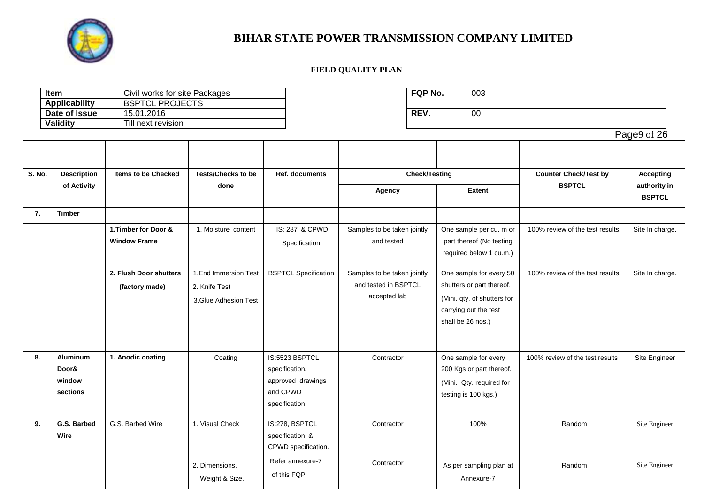

|        | Item                                  | Civil works for site Packages        |                           |                             | FQP No.                     |                       | 003                         |                                  |                  |  |
|--------|---------------------------------------|--------------------------------------|---------------------------|-----------------------------|-----------------------------|-----------------------|-----------------------------|----------------------------------|------------------|--|
|        | <b>Applicability</b><br>Date of Issue | <b>BSPTCL PROJECTS</b><br>15.01.2016 |                           |                             | REV.                        |                       | $00\,$                      |                                  |                  |  |
|        | <b>Validity</b>                       | Till next revision                   |                           |                             |                             |                       |                             |                                  |                  |  |
|        |                                       |                                      |                           |                             |                             |                       |                             |                                  | Page9 of 26      |  |
|        |                                       |                                      |                           |                             |                             |                       |                             |                                  |                  |  |
|        |                                       |                                      |                           |                             |                             |                       |                             |                                  |                  |  |
|        |                                       |                                      |                           |                             |                             |                       |                             |                                  |                  |  |
| S. No. | <b>Description</b>                    | <b>Items to be Checked</b>           | <b>Tests/Checks to be</b> | Ref. documents              |                             | <b>Check/Testing</b>  |                             | <b>Counter Check/Test by</b>     | <b>Accepting</b> |  |
|        | of Activity                           |                                      | done                      |                             | Agency                      |                       | <b>Extent</b>               | <b>BSPTCL</b>                    | authority in     |  |
|        |                                       |                                      |                           |                             |                             |                       |                             |                                  | <b>BSPTCL</b>    |  |
| 7.     | <b>Timber</b>                         |                                      |                           |                             |                             |                       |                             |                                  |                  |  |
|        |                                       | 1. Timber for Door &                 | 1. Moisture content       | IS: 287 & CPWD              | Samples to be taken jointly |                       | One sample per cu. m or     | 100% review of the test results. | Site In charge.  |  |
|        |                                       | <b>Window Frame</b>                  |                           | Specification               | and tested                  |                       | part thereof (No testing    |                                  |                  |  |
|        |                                       |                                      |                           |                             |                             |                       | required below 1 cu.m.)     |                                  |                  |  |
|        |                                       |                                      |                           |                             |                             |                       |                             |                                  |                  |  |
|        |                                       | 2. Flush Door shutters               | 1. End Immersion Test     | <b>BSPTCL Specification</b> | Samples to be taken jointly |                       | One sample for every 50     | 100% review of the test results. | Site In charge.  |  |
|        |                                       | (factory made)                       | 2. Knife Test             |                             | and tested in BSPTCL        |                       | shutters or part thereof.   |                                  |                  |  |
|        |                                       |                                      | 3. Glue Adhesion Test     |                             | accepted lab                |                       | (Mini. qty. of shutters for |                                  |                  |  |
|        |                                       |                                      |                           |                             |                             | carrying out the test |                             |                                  |                  |  |
|        |                                       |                                      |                           |                             |                             | shall be 26 nos.)     |                             |                                  |                  |  |
|        |                                       |                                      |                           |                             |                             |                       |                             |                                  |                  |  |
|        |                                       |                                      |                           |                             |                             |                       |                             |                                  |                  |  |
| 8.     | <b>Aluminum</b>                       | 1. Anodic coating                    | Coating                   | IS:5523 BSPTCL              | Contractor                  |                       | One sample for every        | 100% review of the test results  | Site Engineer    |  |
|        | Door&                                 |                                      |                           | specification,              |                             |                       | 200 Kgs or part thereof.    |                                  |                  |  |
|        | window                                |                                      |                           | approved drawings           |                             |                       | (Mini. Qty. required for    |                                  |                  |  |
|        | sections                              |                                      |                           | and CPWD                    |                             | testing is 100 kgs.)  |                             |                                  |                  |  |
|        |                                       |                                      |                           | specification               |                             |                       |                             |                                  |                  |  |
| 9.     | G.S. Barbed                           | G.S. Barbed Wire                     | 1. Visual Check           | IS:278, BSPTCL              | Contractor                  |                       | 100%                        | Random                           | Site Engineer    |  |
|        | Wire                                  |                                      |                           | specification &             |                             |                       |                             |                                  |                  |  |
|        |                                       |                                      |                           | CPWD specification.         |                             |                       |                             |                                  |                  |  |
|        |                                       |                                      |                           | Refer annexure-7            | Contractor                  |                       |                             |                                  |                  |  |
|        |                                       |                                      | 2. Dimensions,            | of this FQP.                |                             |                       | As per sampling plan at     | Random                           | Site Engineer    |  |
|        |                                       |                                      | Weight & Size.            |                             |                             |                       | Annexure-7                  |                                  |                  |  |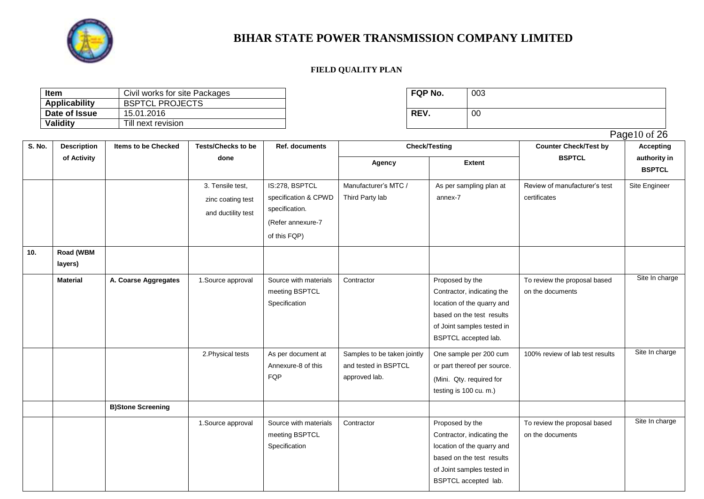

| ltem                 | Civil works for site Packages | FQP No. | 003 |
|----------------------|-------------------------------|---------|-----|
| <b>Applicability</b> | <b>BSPTCL PROJECTS</b>        |         |     |
| Date of Issue        | 15.01.2016                    | REV.    | 00  |
| Validity             | Till next revision            |         |     |

| FQP No. | 003 |
|---------|-----|
| REV.    | 00  |

|        |                      |                            |                                                             |                                                                                               |                                                                      |                                                                                                                                                                |                                                  | Page10 of 26                  |
|--------|----------------------|----------------------------|-------------------------------------------------------------|-----------------------------------------------------------------------------------------------|----------------------------------------------------------------------|----------------------------------------------------------------------------------------------------------------------------------------------------------------|--------------------------------------------------|-------------------------------|
| S. No. | <b>Description</b>   | <b>Items to be Checked</b> | <b>Tests/Checks to be</b>                                   | Ref. documents                                                                                |                                                                      | <b>Check/Testing</b>                                                                                                                                           | <b>Counter Check/Test by</b>                     | <b>Accepting</b>              |
|        | of Activity          |                            | done                                                        |                                                                                               | Agency                                                               | <b>Extent</b>                                                                                                                                                  | <b>BSPTCL</b>                                    | authority in<br><b>BSPTCL</b> |
|        |                      |                            | 3. Tensile test,<br>zinc coating test<br>and ductility test | IS:278, BSPTCL<br>specification & CPWD<br>specification.<br>(Refer annexure-7<br>of this FQP) | Manufacturer's MTC /<br>Third Party lab                              | As per sampling plan at<br>annex-7                                                                                                                             | Review of manufacturer's test<br>certificates    | Site Engineer                 |
| 10.    | Road (WBM<br>layers) |                            |                                                             |                                                                                               |                                                                      |                                                                                                                                                                |                                                  |                               |
|        | <b>Material</b>      | A. Coarse Aggregates       | 1. Source approval                                          | Source with materials<br>meeting BSPTCL<br>Specification                                      | Contractor                                                           | Proposed by the<br>Contractor, indicating the<br>location of the quarry and<br>based on the test results<br>of Joint samples tested in<br>BSPTCL accepted lab. | To review the proposal based<br>on the documents | Site In charge                |
|        |                      |                            | 2. Physical tests                                           | As per document at<br>Annexure-8 of this<br><b>FQP</b>                                        | Samples to be taken jointly<br>and tested in BSPTCL<br>approved lab. | One sample per 200 cum<br>or part thereof per source.<br>(Mini. Qty. required for<br>testing is 100 cu. m.)                                                    | 100% review of lab test results                  | Site In charge                |
|        |                      | <b>B)Stone Screening</b>   |                                                             |                                                                                               |                                                                      |                                                                                                                                                                |                                                  |                               |
|        |                      |                            | 1. Source approval                                          | Source with materials<br>meeting BSPTCL<br>Specification                                      | Contractor                                                           | Proposed by the<br>Contractor, indicating the<br>location of the quarry and<br>based on the test results<br>of Joint samples tested in<br>BSPTCL accepted lab. | To review the proposal based<br>on the documents | Site In charge                |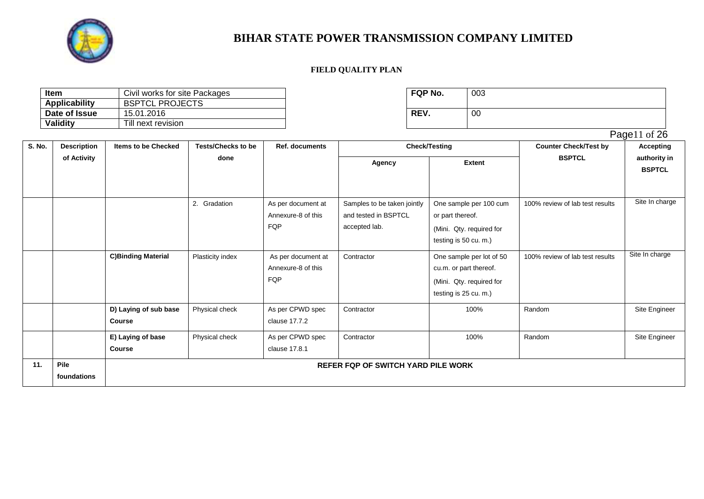

| <b>Item</b>          | Civil works for site Packages | <b>FQP No.</b> | 003 |
|----------------------|-------------------------------|----------------|-----|
| <b>Applicability</b> | <b>BSPTCL PROJECTS</b>        |                |     |
| Date of Issue        | 15.01.2016                    | <b>REV.</b>    | 00  |
| <b>Validity</b>      | Till next revision            |                |     |

| FQP No. | 003 |
|---------|-----|
| REV.    | 00  |

|        |                     |                                        |                           |                                                 |                                                                      |                                                                                                         |                                 | Page11 of 26                  |
|--------|---------------------|----------------------------------------|---------------------------|-------------------------------------------------|----------------------------------------------------------------------|---------------------------------------------------------------------------------------------------------|---------------------------------|-------------------------------|
| S. No. | <b>Description</b>  | <b>Items to be Checked</b>             | <b>Tests/Checks to be</b> | Ref. documents                                  | <b>Check/Testing</b>                                                 |                                                                                                         | <b>Counter Check/Test by</b>    | <b>Accepting</b>              |
|        | of Activity         |                                        | done                      |                                                 | Agency                                                               | <b>Extent</b>                                                                                           | <b>BSPTCL</b>                   | authority in<br><b>BSPTCL</b> |
|        |                     |                                        | 2.<br>Gradation           | As per document at<br>Annexure-8 of this<br>FQP | Samples to be taken jointly<br>and tested in BSPTCL<br>accepted lab. | One sample per 100 cum<br>or part thereof.<br>(Mini. Qty. required for<br>testing is 50 cu. m.)         | 100% review of lab test results | Site In charge                |
|        |                     | <b>C)Binding Material</b>              | Plasticity index          | As per document at<br>Annexure-8 of this<br>FQP | Contractor                                                           | One sample per lot of 50<br>cu.m. or part thereof.<br>(Mini. Qty. required for<br>testing is 25 cu. m.) | 100% review of lab test results | Site In charge                |
|        |                     | D) Laying of sub base<br><b>Course</b> | Physical check            | As per CPWD spec<br>clause 17.7.2               | Contractor                                                           | 100%                                                                                                    | Random                          | Site Engineer                 |
|        |                     | E) Laying of base<br><b>Course</b>     | Physical check            | As per CPWD spec<br>clause 17.8.1               | Contractor                                                           | 100%                                                                                                    | Random                          | Site Engineer                 |
| 11.    | Pile<br>foundations |                                        |                           |                                                 | <b>REFER FOP OF SWITCH YARD PILE WORK</b>                            |                                                                                                         |                                 |                               |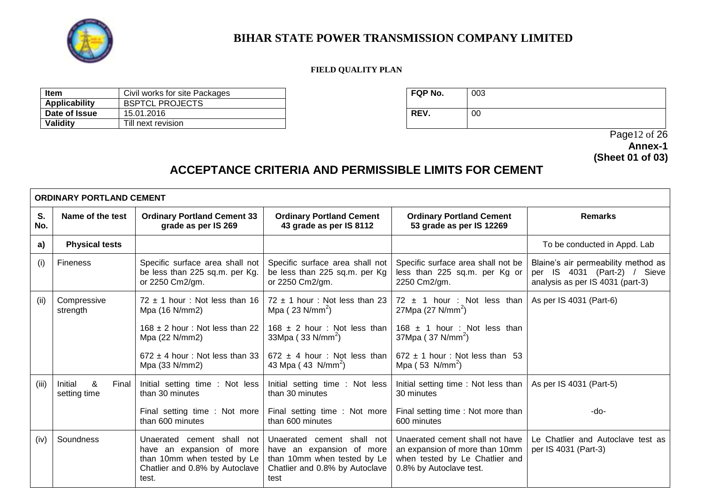

### **FIELD QUALITY PLAN**

| Item            | Civil works for site Packages | <b>FQP No.</b> | 003 |
|-----------------|-------------------------------|----------------|-----|
| Applicability   | <b>BSPTCL PROJECTS</b>        |                |     |
| Date of Issue   | 15.01.2016                    | REV.           | 00  |
| <b>Validity</b> | Till next revision            |                |     |

| FQP No. | 003 |
|---------|-----|
| REV.    | 00  |

 Page12 of 26 **Annex-1 (Sheet 01 of 03)**

# **ACCEPTANCE CRITERIA AND PERMISSIBLE LIMITS FOR CEMENT**

|           | <b>ORDINARY PORTLAND CEMENT</b>       |                                                                                                                                   |                                                                                                                                  |                                                                                                                                |                                                                                                         |  |
|-----------|---------------------------------------|-----------------------------------------------------------------------------------------------------------------------------------|----------------------------------------------------------------------------------------------------------------------------------|--------------------------------------------------------------------------------------------------------------------------------|---------------------------------------------------------------------------------------------------------|--|
| S.<br>No. | Name of the test                      | <b>Ordinary Portland Cement 33</b><br>grade as per IS 269                                                                         | <b>Ordinary Portland Cement</b><br>43 grade as per IS 8112                                                                       | <b>Ordinary Portland Cement</b><br>53 grade as per IS 12269                                                                    | <b>Remarks</b>                                                                                          |  |
| a)        | <b>Physical tests</b>                 |                                                                                                                                   |                                                                                                                                  |                                                                                                                                | To be conducted in Appd. Lab                                                                            |  |
| (i)       | <b>Fineness</b>                       | Specific surface area shall not<br>be less than 225 sq.m. per Kg.<br>or 2250 Cm2/gm.                                              | Specific surface area shall not<br>be less than 225 sq.m. per Kg<br>or 2250 Cm2/gm.                                              | Specific surface area shall not be<br>less than 225 sq.m. per Kg or<br>2250 Cm2/gm.                                            | Blaine's air permeability method as<br>per IS 4031 (Part-2) / Sieve<br>analysis as per IS 4031 (part-3) |  |
| (ii)      | Compressive<br>strength               | $72 \pm 1$ hour: Not less than 16<br>Mpa (16 N/mm2)                                                                               | $72 \pm 1$ hour: Not less than 23<br>Mpa ( $23$ N/mm <sup>2</sup> )                                                              | $72 \pm 1$ hour : Not less than<br>27Mpa (27 N/mm <sup>2</sup> )                                                               | As per IS 4031 (Part-6)                                                                                 |  |
|           |                                       | $168 \pm 2$ hour: Not less than 22<br>Mpa (22 N/mm2)                                                                              | $168 \pm 2$ hour: Not less than<br>$33Mpa$ ( $33 N/mm^2$ )                                                                       | 168 $\pm$ 1 hour : Not less than<br>37Mpa (37 N/mm <sup>2</sup> )                                                              |                                                                                                         |  |
|           |                                       | $672 \pm 4$ hour: Not less than 33<br>Mpa (33 N/mm2)                                                                              | $672 \pm 4$ hour: Not less than<br>43 Mpa $(43 \text{ N/mm}^2)$                                                                  | $672 \pm 1$ hour: Not less than 53<br>Mpa $(53 \text{ N/mm}^2)$                                                                |                                                                                                         |  |
| (iii)     | &<br>Initial<br>Final<br>setting time | Initial setting time : Not less<br>than 30 minutes                                                                                | Initial setting time : Not less<br>than 30 minutes                                                                               | Initial setting time: Not less than  <br>30 minutes                                                                            | As per IS 4031 (Part-5)                                                                                 |  |
|           |                                       | Final setting time : Not more<br>than 600 minutes                                                                                 | Final setting time : Not more<br>than 600 minutes                                                                                | Final setting time: Not more than<br>600 minutes                                                                               | -do-                                                                                                    |  |
| (iv)      | Soundness                             | Unaerated cement shall not<br>have an expansion of more<br>than 10mm when tested by Le<br>Chatlier and 0.8% by Autoclave<br>test. | Unaerated cement shall not<br>have an expansion of more<br>than 10mm when tested by Le<br>Chatlier and 0.8% by Autoclave<br>test | Unaerated cement shall not have<br>an expansion of more than 10mm<br>when tested by Le Chatlier and<br>0.8% by Autoclave test. | Le Chatlier and Autoclave test as<br>per IS 4031 (Part-3)                                               |  |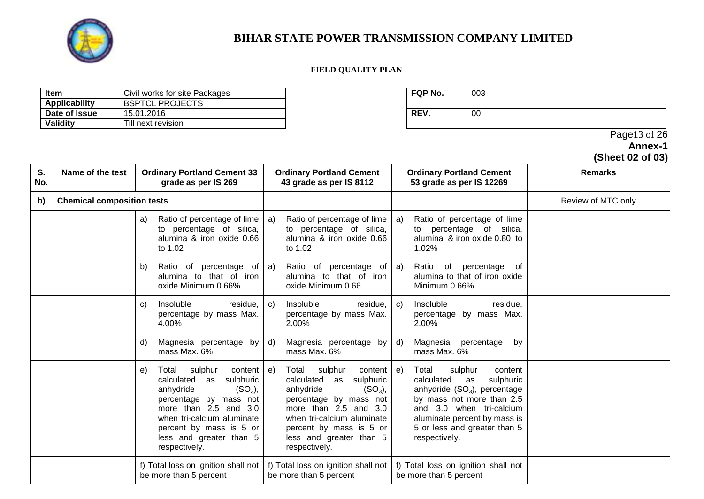

### **FIELD QUALITY PLAN**

| Item          | Civil works for site Packages | <b>FQP No.</b> | 003 |
|---------------|-------------------------------|----------------|-----|
| Applicability | <b>BSPTCL PROJECTS</b>        |                |     |
| Date of Issue | 15.01.2016                    | REV.           | 00  |
| Validity      | Till next revision            |                |     |

| FQP No. | 003 |
|---------|-----|
| DEV     |     |

### Page13 of 26

**Annex-1**

### **(Sheet 02 of 03)**

| S.<br>No. | Name of the test                  | <b>Ordinary Portland Cement 33</b><br>grade as per IS 269                                                                                                                                                                                             | <b>Ordinary Portland Cement</b><br>43 grade as per IS 8112                                                                                                                                                                                           | <b>Ordinary Portland Cement</b><br>53 grade as per IS 12269                                                                                                                                                                                     | <b>Remarks</b>     |
|-----------|-----------------------------------|-------------------------------------------------------------------------------------------------------------------------------------------------------------------------------------------------------------------------------------------------------|------------------------------------------------------------------------------------------------------------------------------------------------------------------------------------------------------------------------------------------------------|-------------------------------------------------------------------------------------------------------------------------------------------------------------------------------------------------------------------------------------------------|--------------------|
| b)        | <b>Chemical composition tests</b> |                                                                                                                                                                                                                                                       |                                                                                                                                                                                                                                                      |                                                                                                                                                                                                                                                 | Review of MTC only |
|           |                                   | Ratio of percentage of lime<br>a)<br>to percentage of silica,<br>alumina & iron oxide 0.66<br>to 1.02                                                                                                                                                 | Ratio of percentage of lime<br>a)<br>to percentage of silica,<br>alumina & iron oxide 0.66<br>to 1.02                                                                                                                                                | Ratio of percentage of lime<br>a)<br>to percentage of silica,<br>alumina & iron oxide 0.80 to<br>1.02%                                                                                                                                          |                    |
|           |                                   | Ratio of percentage of<br>b)<br>alumina to that of iron<br>oxide Minimum 0.66%                                                                                                                                                                        | Ratio of percentage of $ a\rangle$<br>a)<br>alumina to that of iron<br>oxide Minimum 0.66                                                                                                                                                            | Ratio of percentage of<br>alumina to that of iron oxide<br>Minimum 0.66%                                                                                                                                                                        |                    |
|           |                                   | Insoluble<br>residue.<br>$\mathbf{C}$<br>percentage by mass Max.<br>4.00%                                                                                                                                                                             | Insoluble<br>residue,<br>C)<br>percentage by mass Max.<br>2.00%                                                                                                                                                                                      | Insoluble<br>residue,<br>C)<br>percentage by mass Max.<br>2.00%                                                                                                                                                                                 |                    |
|           |                                   | Magnesia percentage by<br>d)<br>mass Max. 6%                                                                                                                                                                                                          | Magnesia percentage by<br>d)<br>mass Max. 6%                                                                                                                                                                                                         | Magnesia<br>percentage<br>d)<br>by<br>mass Max. 6%                                                                                                                                                                                              |                    |
|           |                                   | sulphur<br>content<br>Total<br>e)<br>calculated<br>sulphuric<br>as<br>$(SO_3)$ ,<br>anhydride<br>percentage by mass not<br>more than 2.5 and 3.0<br>when tri-calcium aluminate<br>percent by mass is 5 or<br>less and greater than 5<br>respectively. | sulphur<br>Total<br>content  <br>e)<br>calculated as<br>sulphuric<br>$(SO_3)$ ,<br>anhydride<br>percentage by mass not<br>more than 2.5 and 3.0<br>when tri-calcium aluminate<br>percent by mass is 5 or<br>less and greater than 5<br>respectively. | Total<br>sulphur<br>e)<br>content<br>sulphuric<br>calculated<br>as<br>anhydride $(SO_3)$ , percentage<br>by mass not more than 2.5<br>and 3.0 when tri-calcium<br>aluminate percent by mass is<br>5 or less and greater than 5<br>respectively. |                    |
|           |                                   | f) Total loss on ignition shall not<br>be more than 5 percent                                                                                                                                                                                         | f) Total loss on ignition shall not<br>be more than 5 percent                                                                                                                                                                                        | f) Total loss on ignition shall not<br>be more than 5 percent                                                                                                                                                                                   |                    |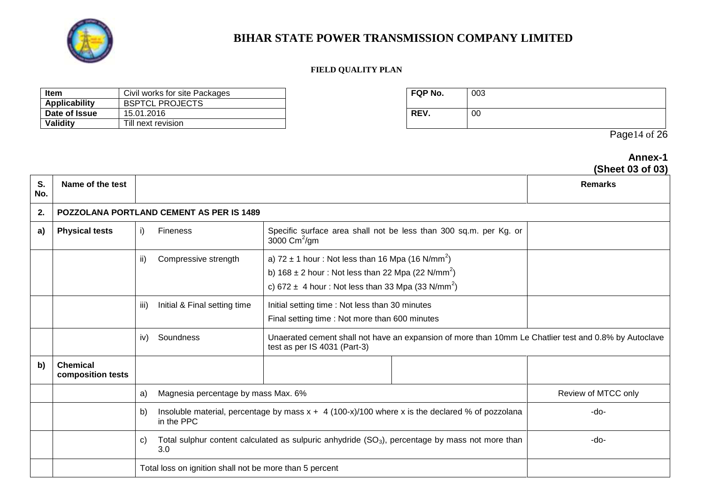

### **FIELD QUALITY PLAN**

| ltem          | Civil works for site Packages | <b>FQP No.</b> | 003 |
|---------------|-------------------------------|----------------|-----|
| Applicability | <b>BSPTCL PROJECTS</b>        |                |     |
| Date of Issue | 15.01.2016                    | REV.           | 00  |
| Validity      | Till next revision            |                |     |

| FQP No. | 003 |
|---------|-----|
| REV.    | 00  |

Page14 of 26

**Annex-1**

|           |                                      |                                                                                                                 |                                                         |                                                                                                                                                                                                            |                                                                                                   | (Sheet 03 of 03)                                                                                      |
|-----------|--------------------------------------|-----------------------------------------------------------------------------------------------------------------|---------------------------------------------------------|------------------------------------------------------------------------------------------------------------------------------------------------------------------------------------------------------------|---------------------------------------------------------------------------------------------------|-------------------------------------------------------------------------------------------------------|
| S.<br>No. | Name of the test                     |                                                                                                                 |                                                         |                                                                                                                                                                                                            |                                                                                                   | <b>Remarks</b>                                                                                        |
| 2.        |                                      |                                                                                                                 | <b>POZZOLANA PORTLAND CEMENT AS PER IS 1489</b>         |                                                                                                                                                                                                            |                                                                                                   |                                                                                                       |
| a)        | <b>Physical tests</b>                | i)                                                                                                              | <b>Fineness</b>                                         | 3000 $\text{Cm}^2/\text{gm}$                                                                                                                                                                               | Specific surface area shall not be less than 300 sq.m. per Kg. or                                 |                                                                                                       |
|           |                                      | ii)                                                                                                             | Compressive strength                                    | a) $72 \pm 1$ hour: Not less than 16 Mpa (16 N/mm <sup>2</sup> )<br>b) $168 \pm 2$ hour: Not less than 22 Mpa (22 N/mm <sup>2</sup> )<br>c) 672 $\pm$ 4 hour: Not less than 33 Mpa (33 N/mm <sup>2</sup> ) |                                                                                                   |                                                                                                       |
|           |                                      | iii)                                                                                                            | Initial & Final setting time                            | Initial setting time: Not less than 30 minutes<br>Final setting time : Not more than 600 minutes                                                                                                           |                                                                                                   |                                                                                                       |
|           |                                      | iv)                                                                                                             | Soundness                                               | test as per IS 4031 (Part-3)                                                                                                                                                                               |                                                                                                   | Unaerated cement shall not have an expansion of more than 10mm Le Chatlier test and 0.8% by Autoclave |
| b)        | <b>Chemical</b><br>composition tests |                                                                                                                 |                                                         |                                                                                                                                                                                                            |                                                                                                   |                                                                                                       |
|           |                                      | a)                                                                                                              | Magnesia percentage by mass Max. 6%                     |                                                                                                                                                                                                            |                                                                                                   | Review of MTCC only                                                                                   |
|           |                                      | b)                                                                                                              | in the PPC                                              |                                                                                                                                                                                                            | Insoluble material, percentage by mass $x + 4$ (100-x)/100 where x is the declared % of pozzolana | $-do-$                                                                                                |
|           |                                      | Total sulphur content calculated as sulpuric anhydride $(SO_3)$ , percentage by mass not more than<br>C)<br>3.0 |                                                         |                                                                                                                                                                                                            | -do-                                                                                              |                                                                                                       |
|           |                                      |                                                                                                                 | Total loss on ignition shall not be more than 5 percent |                                                                                                                                                                                                            |                                                                                                   |                                                                                                       |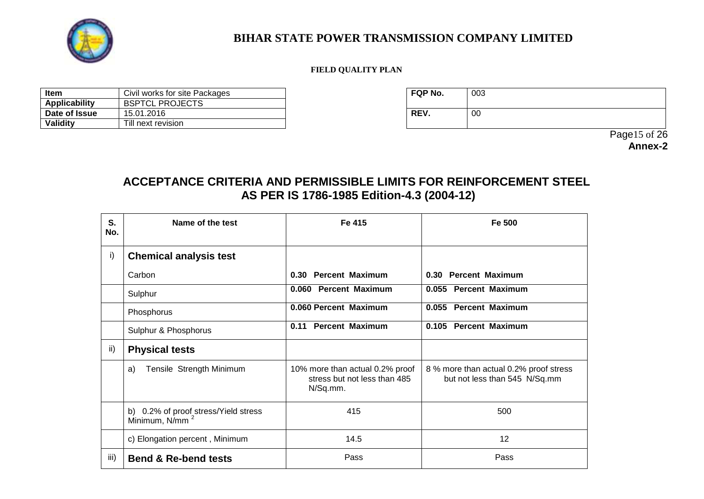

### **FIELD QUALITY PLAN**

| <b>Item</b>   | Civil works for site Packages | <b>FQP No.</b> | 003 |
|---------------|-------------------------------|----------------|-----|
| Applicability | <b>BSPTCL PROJECTS</b>        |                |     |
| Date of Issue | 15.01.2016                    | <b>REV</b>     | 00  |
| Validity      | Till next revision            |                |     |

| FQP No. | 003 |
|---------|-----|
| REV.    | 00  |

 Page15 of 26 **Annex-2**

## **ACCEPTANCE CRITERIA AND PERMISSIBLE LIMITS FOR REINFORCEMENT STEEL AS PER IS 1786-1985 Edition-4.3 (2004-12)**

| S.<br>No. | Name of the test                                                   | Fe 415                                                                      | Fe 500                                                                  |
|-----------|--------------------------------------------------------------------|-----------------------------------------------------------------------------|-------------------------------------------------------------------------|
| i)        | <b>Chemical analysis test</b>                                      |                                                                             |                                                                         |
|           | Carbon                                                             | 0.30 Percent Maximum                                                        | 0.30 Percent Maximum                                                    |
|           | Sulphur                                                            | 0.060 Percent Maximum                                                       | 0.055 Percent Maximum                                                   |
|           | Phosphorus                                                         | 0.060 Percent Maximum                                                       | 0.055 Percent Maximum                                                   |
|           | Sulphur & Phosphorus                                               | 0.11 Percent Maximum                                                        | 0.105 Percent Maximum                                                   |
| ii)       | <b>Physical tests</b>                                              |                                                                             |                                                                         |
|           | Tensile Strength Minimum<br>a)                                     | 10% more than actual 0.2% proof<br>stress but not less than 485<br>N/Sq.mm. | 8 % more than actual 0.2% proof stress<br>but not less than 545 N/Sq.mm |
|           | b) 0.2% of proof stress/Yield stress<br>Minimum, N/mm <sup>2</sup> | 415                                                                         | 500                                                                     |
|           | c) Elongation percent, Minimum                                     | 14.5                                                                        | 12                                                                      |
| iii)      | <b>Bend &amp; Re-bend tests</b>                                    | Pass                                                                        | Pass                                                                    |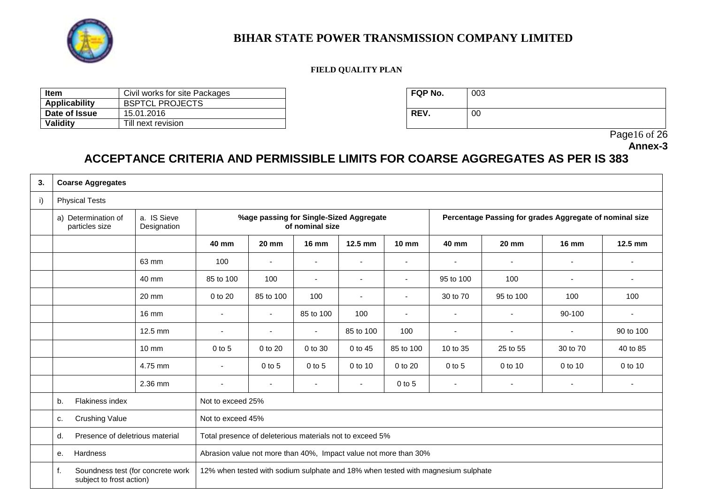

### **FIELD QUALITY PLAN**

| ltem          | Civil works for site Packages | <b>FQP No.</b> | 003 |
|---------------|-------------------------------|----------------|-----|
| Applicability | <b>BSPTCL PROJECTS</b>        |                |     |
| Date of Issue | 15.01.2016                    | REV.           | 00  |
| Validity      | Till next revision            |                |     |

| <b>FQP No.</b> | 003 |
|----------------|-----|
| REV.           | 00  |

Page16 of 26

**Annex-3**

# **ACCEPTANCE CRITERIA AND PERMISSIBLE LIMITS FOR COARSE AGGREGATES AS PER IS 383**

| 3. | <b>Coarse Aggregates</b>                                            |                            |                                                                  |                          |                |                          |                                                         |                                                                                  |                 |                          |           |
|----|---------------------------------------------------------------------|----------------------------|------------------------------------------------------------------|--------------------------|----------------|--------------------------|---------------------------------------------------------|----------------------------------------------------------------------------------|-----------------|--------------------------|-----------|
| i) | <b>Physical Tests</b>                                               |                            |                                                                  |                          |                |                          |                                                         |                                                                                  |                 |                          |           |
|    | a) Determination of<br>particles size                               | a. IS Sieve<br>Designation | %age passing for Single-Sized Aggregate<br>of nominal size       |                          |                |                          | Percentage Passing for grades Aggregate of nominal size |                                                                                  |                 |                          |           |
|    |                                                                     |                            | 40 mm                                                            | <b>20 mm</b>             | <b>16 mm</b>   | 12.5 mm                  | <b>10 mm</b>                                            | 40 mm                                                                            | $20 \text{ mm}$ | <b>16 mm</b>             | 12.5 mm   |
|    |                                                                     | 63 mm                      | 100                                                              | $\overline{\phantom{a}}$ | $\blacksquare$ |                          |                                                         | $\blacksquare$                                                                   | $\blacksquare$  | ٠                        |           |
|    |                                                                     | 40 mm                      | 85 to 100                                                        | 100                      | $\blacksquare$ | $\overline{\phantom{a}}$ | $\overline{\phantom{a}}$                                | 95 to 100                                                                        | 100             | ٠                        | ٠         |
|    |                                                                     | 20 mm                      | 0 to 20                                                          | 85 to 100                | 100            | $\blacksquare$           | $\overline{\phantom{0}}$                                | 30 to 70                                                                         | 95 to 100       | 100                      | 100       |
|    |                                                                     | $16 \text{ mm}$            |                                                                  | $\overline{\phantom{a}}$ | 85 to 100      | 100                      | $\blacksquare$                                          | $\blacksquare$                                                                   |                 | 90-100                   |           |
|    |                                                                     | $12.5$ mm                  | $\overline{a}$                                                   | $\overline{\phantom{a}}$ | $\blacksquare$ | 85 to 100                | 100                                                     | $\blacksquare$                                                                   | $\blacksquare$  | $\overline{\phantom{a}}$ | 90 to 100 |
|    |                                                                     | $10 \text{ mm}$            | $0$ to 5                                                         | 0 to 20                  | 0 to 30        | 0 to 45                  | 85 to 100                                               | 10 to 35                                                                         | 25 to 55        | 30 to 70                 | 40 to 85  |
|    |                                                                     | 4.75 mm                    | $\overline{\phantom{a}}$                                         | $0$ to 5                 | $0$ to $5$     | 0 to 10                  | 0 to 20                                                 | $0$ to $5$                                                                       | 0 to 10         | 0 to 10                  | 0 to 10   |
|    |                                                                     | 2.36 mm                    | $\overline{a}$                                                   | $\blacksquare$           | $\blacksquare$ | $\sim$                   | $0$ to $5$                                              | $\blacksquare$                                                                   | $\blacksquare$  | $\overline{\phantom{a}}$ |           |
|    | Flakiness index<br>b.                                               |                            | Not to exceed 25%                                                |                          |                |                          |                                                         |                                                                                  |                 |                          |           |
|    | <b>Crushing Value</b><br>c.                                         |                            | Not to exceed 45%                                                |                          |                |                          |                                                         |                                                                                  |                 |                          |           |
|    | Presence of deletrious material<br>d.                               |                            | Total presence of deleterious materials not to exceed 5%         |                          |                |                          |                                                         |                                                                                  |                 |                          |           |
|    | Hardness<br>е.                                                      |                            | Abrasion value not more than 40%, Impact value not more than 30% |                          |                |                          |                                                         |                                                                                  |                 |                          |           |
|    | f.<br>Soundness test (for concrete work<br>subject to frost action) |                            |                                                                  |                          |                |                          |                                                         | 12% when tested with sodium sulphate and 18% when tested with magnesium sulphate |                 |                          |           |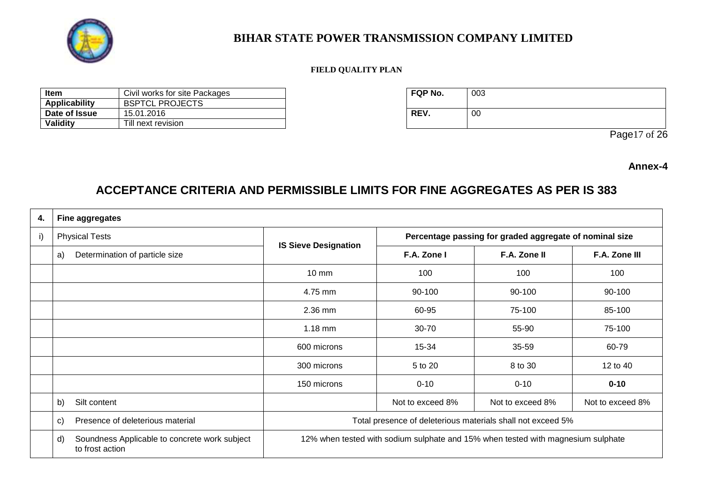

### **FIELD QUALITY PLAN**

| Item          | Civil works for site Packages | <b>FQP No.</b> | 003 |
|---------------|-------------------------------|----------------|-----|
| Applicability | <b>BSPTCL PROJECTS</b>        |                |     |
| Date of Issue | 15.01.2016                    | REV.           | 00  |
| Validity      | Till next revision            |                |     |

| FQP No. | 003 |
|---------|-----|
| REV.    | 00  |

Page17 of 26

**Annex-4**

## **ACCEPTANCE CRITERIA AND PERMISSIBLE LIMITS FOR FINE AGGREGATES AS PER IS 383**

| 4. | <b>Fine aggregates</b>                                                 |                                                                                  |                                                             |                  |                  |  |
|----|------------------------------------------------------------------------|----------------------------------------------------------------------------------|-------------------------------------------------------------|------------------|------------------|--|
| i) | <b>Physical Tests</b>                                                  |                                                                                  | Percentage passing for graded aggregate of nominal size     |                  |                  |  |
|    | Determination of particle size<br>a)                                   | <b>IS Sieve Designation</b>                                                      | F.A. Zone I                                                 | F.A. Zone II     | F.A. Zone III    |  |
|    |                                                                        | 10 mm                                                                            | 100                                                         | 100              | 100              |  |
|    |                                                                        | 4.75 mm                                                                          | 90-100                                                      | 90-100           | 90-100           |  |
|    |                                                                        | 2.36 mm                                                                          | 60-95                                                       | 75-100           | 85-100           |  |
|    |                                                                        | $1.18$ mm                                                                        | 30-70                                                       | 55-90            | 75-100           |  |
|    |                                                                        | 600 microns                                                                      | 15-34                                                       | 35-59            | 60-79            |  |
|    |                                                                        | 300 microns                                                                      | 5 to 20                                                     | 8 to 30          | 12 to 40         |  |
|    |                                                                        | 150 microns                                                                      | $0 - 10$                                                    | $0 - 10$         | $0 - 10$         |  |
|    | b)<br>Silt content                                                     |                                                                                  | Not to exceed 8%                                            | Not to exceed 8% | Not to exceed 8% |  |
|    | Presence of deleterious material<br>C)                                 |                                                                                  | Total presence of deleterious materials shall not exceed 5% |                  |                  |  |
|    | Soundness Applicable to concrete work subject<br>d)<br>to frost action | 12% when tested with sodium sulphate and 15% when tested with magnesium sulphate |                                                             |                  |                  |  |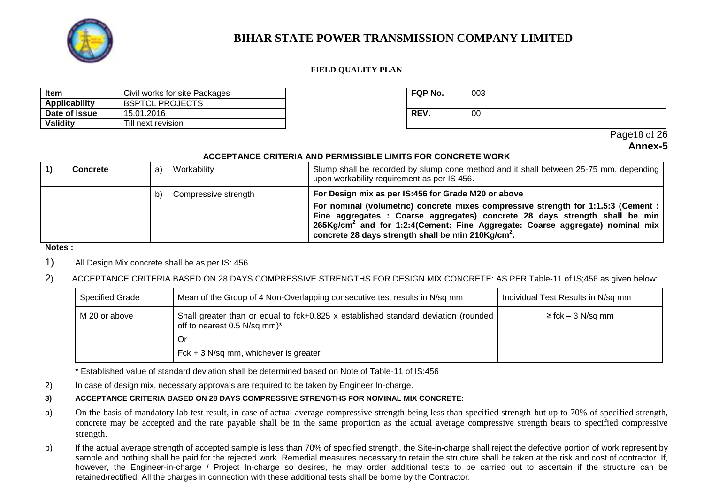

#### **FIELD QUALITY PLAN**

| <b>Item</b>   | Civil works for site Packages | <b>FQP No.</b> | 003 |
|---------------|-------------------------------|----------------|-----|
| Applicability | <b>BSPTCL PROJECTS</b>        |                |     |
| Date of Issue | 15.01.2016                    | <b>REV</b>     | 00  |
| Validity      | Till next revision            |                |     |

| FQP No. | 003 |
|---------|-----|
| REV.    | 00  |

Page18 of 26 **Annex-5**

#### **ACCEPTANCE CRITERIA AND PERMISSIBLE LIMITS FOR CONCRETE WORK**

| <b>Concrete</b> | Workability<br>a           | Slump shall be recorded by slump cone method and it shall between 25-75 mm. depending<br>upon workability requirement as per IS 456.                                                                                                                                                                                                                                                    |
|-----------------|----------------------------|-----------------------------------------------------------------------------------------------------------------------------------------------------------------------------------------------------------------------------------------------------------------------------------------------------------------------------------------------------------------------------------------|
|                 | Compressive strength<br>b) | For Design mix as per IS:456 for Grade M20 or above<br>For nominal (volumetric) concrete mixes compressive strength for 1:1.5:3 (Cement :<br>Fine aggregates : Coarse aggregates) concrete 28 days strength shall be min<br>265Kg/cm <sup>2</sup> and for 1:2:4(Cement: Fine Aggregate: Coarse aggregate) nominal mix<br>concrete 28 days strength shall be min 210Kg/cm <sup>2</sup> . |

**Notes :**

1) All Design Mix concrete shall be as per IS: 456

### 2) ACCEPTANCE CRITERIA BASED ON 28 DAYS COMPRESSIVE STRENGTHS FOR DESIGN MIX CONCRETE: AS PER Table-11 of IS;456 as given below:

| <b>Specified Grade</b> | Mean of the Group of 4 Non-Overlapping consecutive test results in N/sq mm                                         | Individual Test Results in N/sq mm |
|------------------------|--------------------------------------------------------------------------------------------------------------------|------------------------------------|
| M 20 or above          | Shall greater than or equal to fck+0.825 x established standard deviation (rounded<br>off to nearest 0.5 N/sq mm)* | $\ge$ fck – 3 N/sq mm              |
|                        | Or                                                                                                                 |                                    |
|                        | $Fck + 3 N/sq mm$ , whichever is greater                                                                           |                                    |

\* Established value of standard deviation shall be determined based on Note of Table-11 of IS:456

2) In case of design mix, necessary approvals are required to be taken by Engineer In-charge.

#### **3) ACCEPTANCE CRITERIA BASED ON 28 DAYS COMPRESSIVE STRENGTHS FOR NOMINAL MIX CONCRETE:**

- a) On the basis of mandatory lab test result, in case of actual average compressive strength being less than specified strength but up to 70% of specified strength, concrete may be accepted and the rate payable shall be in the same proportion as the actual average compressive strength bears to specified compressive strength.
- b) If the actual average strength of accepted sample is less than 70% of specified strength, the Site-in-charge shall reject the defective portion of work represent by sample and nothing shall be paid for the rejected work. Remedial measures necessary to retain the structure shall be taken at the risk and cost of contractor. If, however, the Engineer-in-charge / Project In-charge so desires, he may order additional tests to be carried out to ascertain if the structure can be retained/rectified. All the charges in connection with these additional tests shall be borne by the Contractor.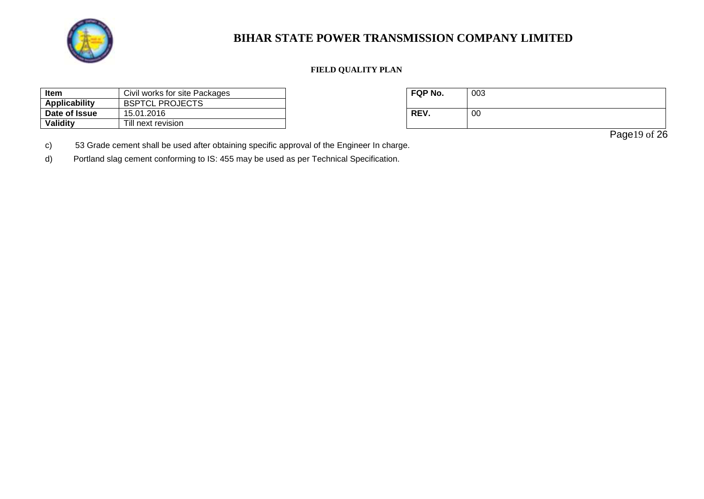

### **FIELD QUALITY PLAN**

| Item<br>Civil works for site Packages |                        | FQP No.    | 003 |
|---------------------------------------|------------------------|------------|-----|
| Applicability                         | <b>BSPTCL PROJECTS</b> |            |     |
| Date of Issue                         | 15.01.2016             | <b>REV</b> | 00  |
| Validity                              | Till next revision     |            |     |

| FQP No. | 003 |
|---------|-----|
| REV.    | 00  |

Page19 of 26

c) 53 Grade cement shall be used after obtaining specific approval of the Engineer In charge.

d) Portland slag cement conforming to IS: 455 may be used as per Technical Specification.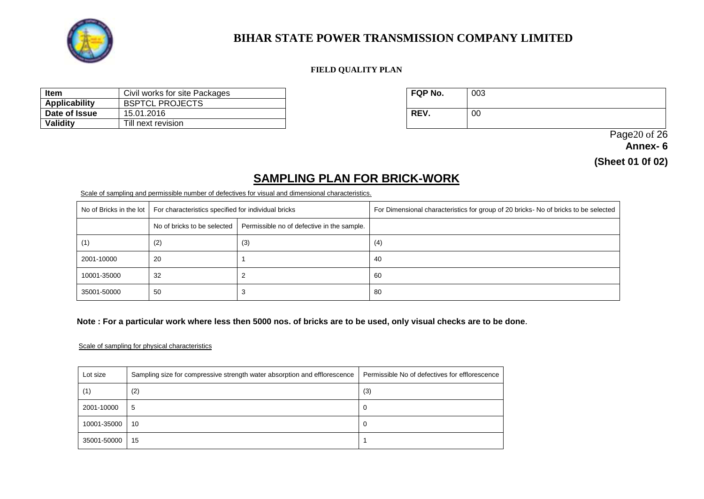

#### **FIELD QUALITY PLAN**

| <b>Item</b><br>Civil works for site Packages |                        | <b>FQP No.</b> | 003 |
|----------------------------------------------|------------------------|----------------|-----|
| Applicability                                | <b>BSPTCL PROJECTS</b> |                |     |
| Date of Issue                                | 15.01.2016             | <b>REV</b>     | 00  |
| <b>Validity</b>                              | Till next revision     |                |     |

| FQP No. | 003 |
|---------|-----|
| REV.    | 00  |

 Page20 of 26 **Annex- 6** 

**(Sheet 01 0f 02)**

## **SAMPLING PLAN FOR BRICK-WORK**

#### Scale of sampling and permissible number of defectives for visual and dimensional characteristics.

| No of Bricks in the lot | For characteristics specified for individual bricks |                                            | For Dimensional characteristics for group of 20 bricks- No of bricks to be selected |
|-------------------------|-----------------------------------------------------|--------------------------------------------|-------------------------------------------------------------------------------------|
|                         | No of bricks to be selected                         | Permissible no of defective in the sample. |                                                                                     |
| (1)                     | (2)                                                 | (3)                                        | (4)                                                                                 |
| 2001-10000              | -20                                                 |                                            | 40                                                                                  |
| 10001-35000             | 32                                                  |                                            | 60                                                                                  |
| 35001-50000             | -50                                                 |                                            | 80                                                                                  |

#### **Note : For a particular work where less then 5000 nos. of bricks are to be used, only visual checks are to be done.**

#### Scale of sampling for physical characteristics

| Lot size    | Sampling size for compressive strength water absorption and efflorescence | Permissible No of defectives for efflorescence |
|-------------|---------------------------------------------------------------------------|------------------------------------------------|
| (1)         | (2)                                                                       | (3)                                            |
| 2001-10000  | 5                                                                         | 0                                              |
| 10001-35000 | 10                                                                        | 0                                              |
| 35001-50000 | 15                                                                        |                                                |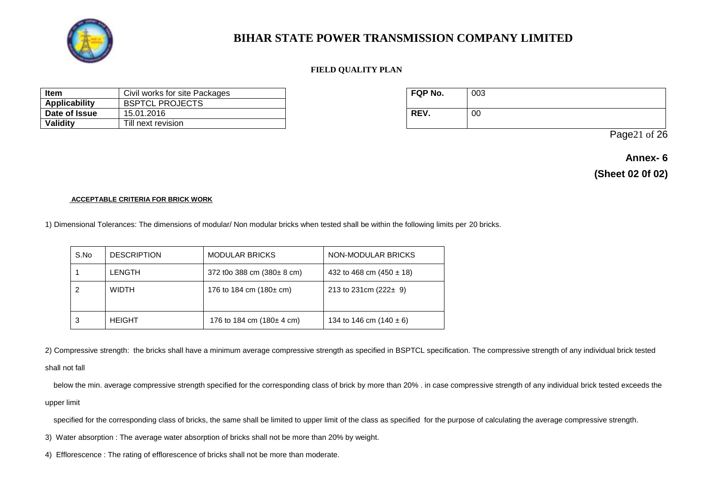

#### **FIELD QUALITY PLAN**

| Civil works for site Packages<br>Item |                        | <b>FQP No.</b> | 003 |
|---------------------------------------|------------------------|----------------|-----|
| Applicability                         | <b>BSPTCL PROJECTS</b> |                |     |
| Date of Issue                         | 15.01.2016             | REV.           | 00  |
| Validity                              | Till next revision     |                |     |

| FQP No. | 003 |
|---------|-----|
| REV.    | 00  |

Page21 of 26

**Annex- 6 (Sheet 02 0f 02)**

#### **ACCEPTABLE CRITERIA FOR BRICK WORK**

1) Dimensional Tolerances: The dimensions of modular/ Non modular bricks when tested shall be within the following limits per 20 bricks.

| S.No | <b>DESCRIPTION</b> | <b>MODULAR BRICKS</b>                   | NON-MODULAR BRICKS           |
|------|--------------------|-----------------------------------------|------------------------------|
|      | <b>LENGTH</b>      | 372 t0o 388 cm $(380 \pm 8 \text{ cm})$ | 432 to 468 cm $(450 \pm 18)$ |
|      | <b>WIDTH</b>       | 176 to 184 cm $(180 \pm cm)$            | 213 to 231cm $(222 \pm 9)$   |
| 3    | <b>HEIGHT</b>      | 176 to 184 cm $(180 \pm 4 \text{ cm})$  | 134 to 146 cm $(140 \pm 6)$  |

2) Compressive strength: the bricks shall have a minimum average compressive strength as specified in BSPTCL specification. The compressive strength of any individual brick tested

#### shall not fall

below the min. average compressive strength specified for the corresponding class of brick by more than 20% . in case compressive strength of any individual brick tested exceeds the upper limit

specified for the corresponding class of bricks, the same shall be limited to upper limit of the class as specified for the purpose of calculating the average compressive strength.

3) Water absorption : The average water absorption of bricks shall not be more than 20% by weight.

4) Efflorescence : The rating of efflorescence of bricks shall not be more than moderate.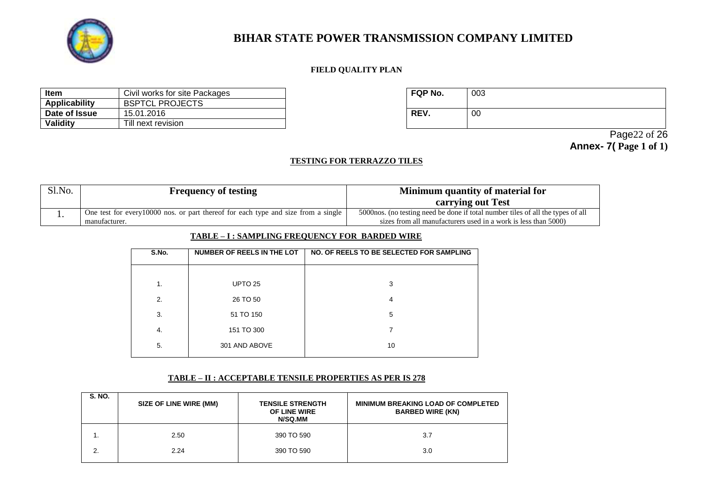

### **FIELD QUALITY PLAN**

| Item<br>Civil works for site Packages |                        | <b>FQP No.</b> | 003 |
|---------------------------------------|------------------------|----------------|-----|
| Applicability                         | <b>BSPTCL PROJECTS</b> |                |     |
| Date of Issue                         | 15.01.2016             | REV.           | 00  |
| Validity                              | Till next revision     |                |     |

| FQP No. | 003 |
|---------|-----|
| REV.    | 00  |

 Page22 of 26 **Annex- 7( Page 1 of 1)**

#### **TESTING FOR TERRAZZO TILES**

| Sl.No. | <b>Frequency of testing</b>                                                        | Minimum quantity of material for                                                 |
|--------|------------------------------------------------------------------------------------|----------------------------------------------------------------------------------|
|        |                                                                                    | carrying out Test                                                                |
|        | One test for every 10000 nos. or part thereof for each type and size from a single | 5000 hos. (no testing need be done if total number tiles of all the types of all |
|        | manutacturer.                                                                      | sizes from all manufacturers used in a work is less than 5000)                   |

#### **TABLE – I : SAMPLING FREQUENCY FOR BARDED WIRE**

| S.No. | NUMBER OF REELS IN THE LOT | NO. OF REELS TO BE SELECTED FOR SAMPLING |  |
|-------|----------------------------|------------------------------------------|--|
|       |                            |                                          |  |
| 1.    | UPTO <sub>25</sub>         | 3                                        |  |
| 2.    | 26 TO 50                   | 4                                        |  |
| 3.    | 51 TO 150                  | 5                                        |  |
| 4.    | 151 TO 300                 |                                          |  |
| 5.    | 301 AND ABOVE              | 10                                       |  |
|       |                            |                                          |  |

#### **TABLE – II : ACCEPTABLE TENSILE PROPERTIES AS PER IS 278**

| <b>S. NO.</b> | <b>SIZE OF LINE WIRE (MM)</b> | <b>TENSILE STRENGTH</b><br>OF LINE WIRE<br>N/SQ.MM | <b>MINIMUM BREAKING LOAD OF COMPLETED</b><br><b>BARBED WIRE (KN)</b> |
|---------------|-------------------------------|----------------------------------------------------|----------------------------------------------------------------------|
|               | 2.50                          | 390 TO 590                                         | 3.7                                                                  |
| 2.            | 2.24                          | 390 TO 590                                         | 3.0                                                                  |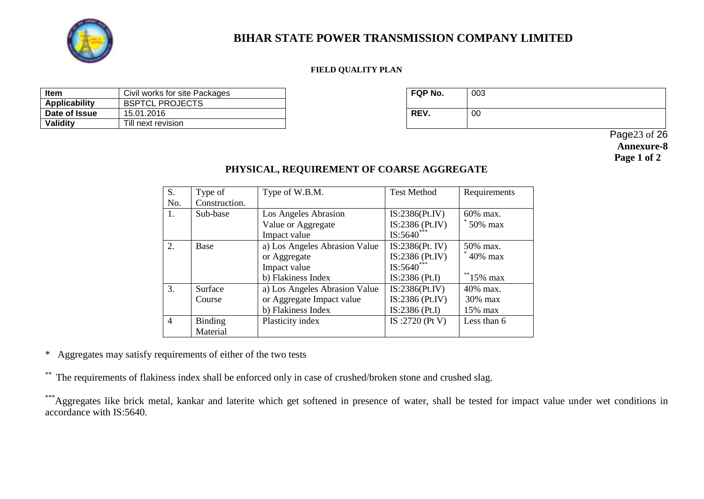

### **FIELD QUALITY PLAN**

| <b>Item</b>   | Civil works for site Packages | FQP No.     | 003 |
|---------------|-------------------------------|-------------|-----|
| Applicability | <b>BSPTCL PROJECTS</b>        |             |     |
| Date of Issue | 15.01.2016                    | <b>REV.</b> | 00  |
| Validity      | Till next revision            |             |     |

| <b>FQP No.</b> | 003 |
|----------------|-----|
| REV.           | 00  |

 Page23 of 26 **Annexure-8 Page 1 of 2**

### **PHYSICAL, REQUIREMENT OF COARSE AGGREGATE**

| S.               | Type of        | Type of W.B.M.                | <b>Test Method</b> | Requirements |
|------------------|----------------|-------------------------------|--------------------|--------------|
| No.              | Construction.  |                               |                    |              |
| 1.               | Sub-base       | Los Angeles Abrasion          | IS:2386(Pt.IV)     | $60\%$ max.  |
|                  |                | Value or Aggregate            | IS:2386 (Pt.IV)    | $50\%$ max   |
|                  |                | Impact value                  | $IS:5640***$       |              |
| $\overline{2}$ . | Base           | a) Los Angeles Abrasion Value | IS:2386(Pt. IV)    | 50% max.     |
|                  |                | or Aggregate                  | $IS:2386$ (Pt.IV)  | 40% max      |
|                  |                | Impact value                  | $IS:5640^{**}$     |              |
|                  |                | b) Flakiness Index            | $IS:2386$ (Pt.I)   | $*$ 15% max  |
| 3.               | Surface        | a) Los Angeles Abrasion Value | IS:2386(Pt.IV)     | $40\%$ max.  |
|                  | Course         | or Aggregate Impact value     | IS:2386 (Pt.IV)    | $30\%$ max   |
|                  |                | b) Flakiness Index            | $IS:2386$ (Pt.I)   | $15\%$ max   |
| $\overline{4}$   | <b>Binding</b> | Plasticity index              | IS :2720 (Pt V)    | Less than 6  |
|                  | Material       |                               |                    |              |

\* Aggregates may satisfy requirements of either of the two tests

\*\* The requirements of flakiness index shall be enforced only in case of crushed/broken stone and crushed slag.

\*\*\*Aggregates like brick metal, kankar and laterite which get softened in presence of water, shall be tested for impact value under wet conditions in accordance with IS:5640.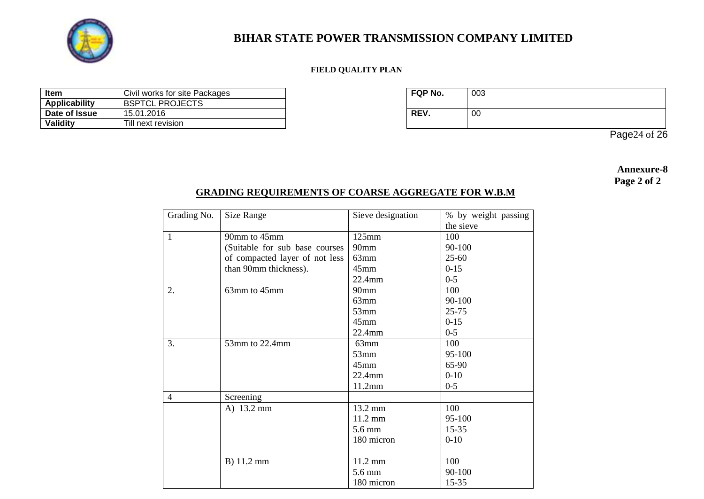

### **FIELD QUALITY PLAN**

| Item                 | Civil works for site Packages | <b>FQP No.</b> | 003 |
|----------------------|-------------------------------|----------------|-----|
| <b>Applicability</b> | <b>BSPTCL PROJECTS</b>        |                |     |
| Date of Issue        | 15.01.2016                    | <b>REV.</b>    | 00  |
| Validity             | Till next revision            |                |     |

| FQP No. | 003 |
|---------|-----|
| REV.    | 00  |

Page24 of 26

**Annexure-8 Page 2 of 2**

### **GRADING REQUIREMENTS OF COARSE AGGREGATE FOR W.B.M**

| Grading No.  | Size Range                     | Sieve designation | % by weight passing |
|--------------|--------------------------------|-------------------|---------------------|
|              |                                |                   | the sieve           |
| $\mathbf{1}$ | 90mm to 45mm                   | $125$ mm          | 100                 |
|              | (Suitable for sub base courses | 90 <sub>mm</sub>  | 90-100              |
|              | of compacted layer of not less | $63$ mm           | $25 - 60$           |
|              | than 90mm thickness).          | $45$ mm           | $0-15$              |
|              |                                | 22.4mm            | $0 - 5$             |
| 2.           | 63mm to 45mm                   | 90mm              | 100                 |
|              |                                | 63mm              | 90-100              |
|              |                                | $53$ mm           | $25 - 75$           |
|              |                                | $45$ mm           | $0-15$              |
|              |                                | 22.4mm            | $0 - 5$             |
| 3.           | 53mm to 22.4mm                 | 63mm              | 100                 |
|              |                                | 53mm              | 95-100              |
|              |                                | $45$ mm           | 65-90               |
|              |                                | $22.4$ mm         | $0 - 10$            |
|              |                                | 11.2mm            | $0 - 5$             |
| 4            | Screening                      |                   |                     |
|              | A) 13.2 mm                     | 13.2 mm           | 100                 |
|              |                                | 11.2 mm           | 95-100              |
|              |                                | 5.6 mm            | $15 - 35$           |
|              |                                | 180 micron        | $0 - 10$            |
|              |                                |                   |                     |
|              | B) 11.2 mm                     | 11.2 mm           | 100                 |
|              |                                | 5.6 mm            | 90-100              |
|              |                                | 180 micron        | $15 - 35$           |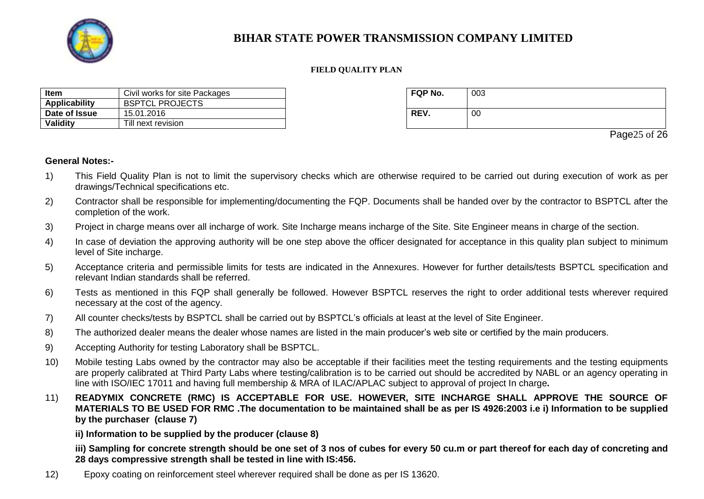

#### **FIELD QUALITY PLAN**

| Item          | Civil works for site Packages | <b>FQP No.</b> | 003 |
|---------------|-------------------------------|----------------|-----|
| Applicability | <b>BSPTCL PROJECTS</b>        |                |     |
| Date of Issue | 15.01.2016                    | <b>REV.</b>    | 00  |
| Validity      | Till next revision            |                |     |

| FQP No. | 003 |
|---------|-----|
| REV.    | 00  |

Page<sub>25</sub> of 26

#### **General Notes:-**

- 1) This Field Quality Plan is not to limit the supervisory checks which are otherwise required to be carried out during execution of work as per drawings/Technical specifications etc.
- 2) Contractor shall be responsible for implementing/documenting the FQP. Documents shall be handed over by the contractor to BSPTCL after the completion of the work.
- 3) Project in charge means over all incharge of work. Site Incharge means incharge of the Site. Site Engineer means in charge of the section.
- 4) In case of deviation the approving authority will be one step above the officer designated for acceptance in this quality plan subject to minimum level of Site incharge.
- 5) Acceptance criteria and permissible limits for tests are indicated in the Annexures. However for further details/tests BSPTCL specification and relevant Indian standards shall be referred.
- 6) Tests as mentioned in this FQP shall generally be followed. However BSPTCL reserves the right to order additional tests wherever required necessary at the cost of the agency.
- 7) All counter checks/tests by BSPTCL shall be carried out by BSPTCL's officials at least at the level of Site Engineer.
- 8) The authorized dealer means the dealer whose names are listed in the main producer's web site or certified by the main producers.
- 9) Accepting Authority for testing Laboratory shall be BSPTCL.
- 10) Mobile testing Labs owned by the contractor may also be acceptable if their facilities meet the testing requirements and the testing equipments are properly calibrated at Third Party Labs where testing/calibration is to be carried out should be accredited by NABL or an agency operating in line with ISO/IEC 17011 and having full membership & MRA of ILAC/APLAC subject to approval of project In charge**.**
- 11) **READYMIX CONCRETE (RMC) IS ACCEPTABLE FOR USE. HOWEVER, SITE INCHARGE SHALL APPROVE THE SOURCE OF MATERIALS TO BE USED FOR RMC .The documentation to be maintained shall be as per IS 4926:2003 i.e i) Information to be supplied by the purchaser (clause 7)**

**ii) Information to be supplied by the producer (clause 8)**

**iii) Sampling for concrete strength should be one set of 3 nos of cubes for every 50 cu.m or part thereof for each day of concreting and 28 days compressive strength shall be tested in line with IS:456.**

12) Epoxy coating on reinforcement steel wherever required shall be done as per IS 13620.